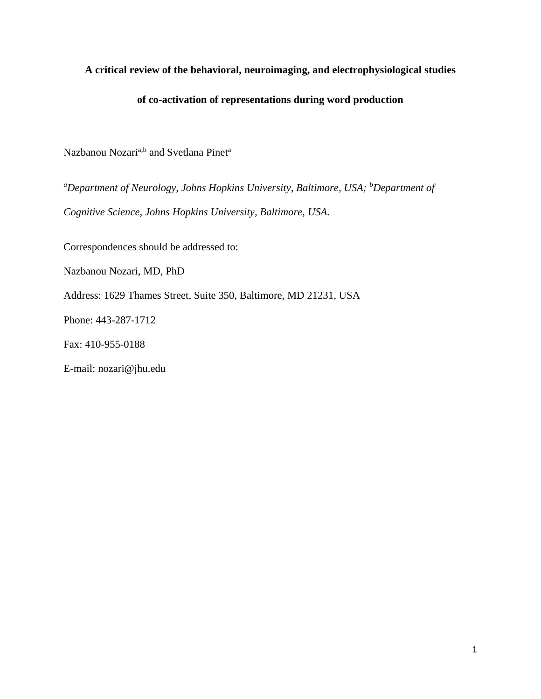# **A critical review of the behavioral, neuroimaging, and electrophysiological studies**

# **of co-activation of representations during word production**

Nazbanou Nozari<sup>a,b</sup> and Svetlana Pinet<sup>a</sup>

*<sup>a</sup>Department of Neurology, Johns Hopkins University, Baltimore, USA; <sup>b</sup>Department of Cognitive Science, Johns Hopkins University, Baltimore, USA.*

Correspondences should be addressed to:

Nazbanou Nozari, MD, PhD

Address: 1629 Thames Street, Suite 350, Baltimore, MD 21231, USA

Phone: 443-287-1712

Fax: 410-955-0188

E-mail: nozari@jhu.edu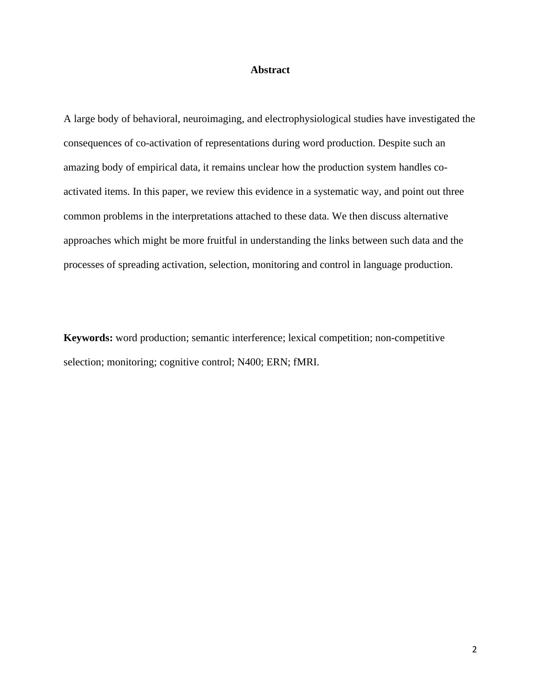# **Abstract**

A large body of behavioral, neuroimaging, and electrophysiological studies have investigated the consequences of co-activation of representations during word production. Despite such an amazing body of empirical data, it remains unclear how the production system handles coactivated items. In this paper, we review this evidence in a systematic way, and point out three common problems in the interpretations attached to these data. We then discuss alternative approaches which might be more fruitful in understanding the links between such data and the processes of spreading activation, selection, monitoring and control in language production.

**Keywords:** word production; semantic interference; lexical competition; non-competitive selection; monitoring; cognitive control; N400; ERN; fMRI.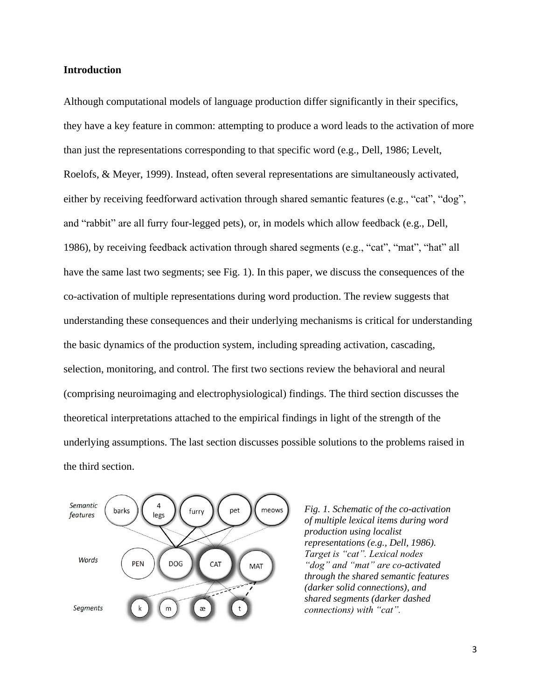#### **Introduction**

Although computational models of language production differ significantly in their specifics, they have a key feature in common: attempting to produce a word leads to the activation of more than just the representations corresponding to that specific word (e.g., Dell, 1986; Levelt, Roelofs, & Meyer, 1999). Instead, often several representations are simultaneously activated, either by receiving feedforward activation through shared semantic features (e.g., "cat", "dog", and "rabbit" are all furry four-legged pets), or, in models which allow feedback (e.g., Dell, 1986), by receiving feedback activation through shared segments (e.g., "cat", "mat", "hat" all have the same last two segments; see Fig. 1). In this paper, we discuss the consequences of the co-activation of multiple representations during word production. The review suggests that understanding these consequences and their underlying mechanisms is critical for understanding the basic dynamics of the production system, including spreading activation, cascading, selection, monitoring, and control. The first two sections review the behavioral and neural (comprising neuroimaging and electrophysiological) findings. The third section discusses the theoretical interpretations attached to the empirical findings in light of the strength of the underlying assumptions. The last section discusses possible solutions to the problems raised in the third section.



*Fig. 1. Schematic of the co-activation of multiple lexical items during word production using localist representations (e.g., Dell, 1986). Target is "cat". Lexical nodes "dog" and "mat" are co-activated through the shared semantic features (darker solid connections), and shared segments (darker dashed connections) with "cat".*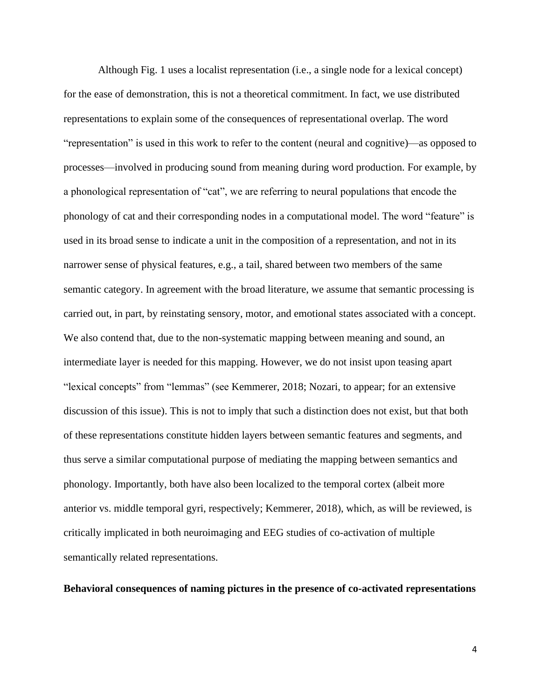Although Fig. 1 uses a localist representation (i.e., a single node for a lexical concept) for the ease of demonstration, this is not a theoretical commitment. In fact, we use distributed representations to explain some of the consequences of representational overlap. The word "representation" is used in this work to refer to the content (neural and cognitive)—as opposed to processes—involved in producing sound from meaning during word production. For example, by a phonological representation of "cat", we are referring to neural populations that encode the phonology of cat and their corresponding nodes in a computational model. The word "feature" is used in its broad sense to indicate a unit in the composition of a representation, and not in its narrower sense of physical features, e.g., a tail, shared between two members of the same semantic category. In agreement with the broad literature, we assume that semantic processing is carried out, in part, by reinstating sensory, motor, and emotional states associated with a concept. We also contend that, due to the non-systematic mapping between meaning and sound, an intermediate layer is needed for this mapping. However, we do not insist upon teasing apart "lexical concepts" from "lemmas" (see Kemmerer, 2018; Nozari, to appear; for an extensive discussion of this issue). This is not to imply that such a distinction does not exist, but that both of these representations constitute hidden layers between semantic features and segments, and thus serve a similar computational purpose of mediating the mapping between semantics and phonology. Importantly, both have also been localized to the temporal cortex (albeit more anterior vs. middle temporal gyri, respectively; Kemmerer, 2018), which, as will be reviewed, is critically implicated in both neuroimaging and EEG studies of co-activation of multiple semantically related representations.

#### **Behavioral consequences of naming pictures in the presence of co-activated representations**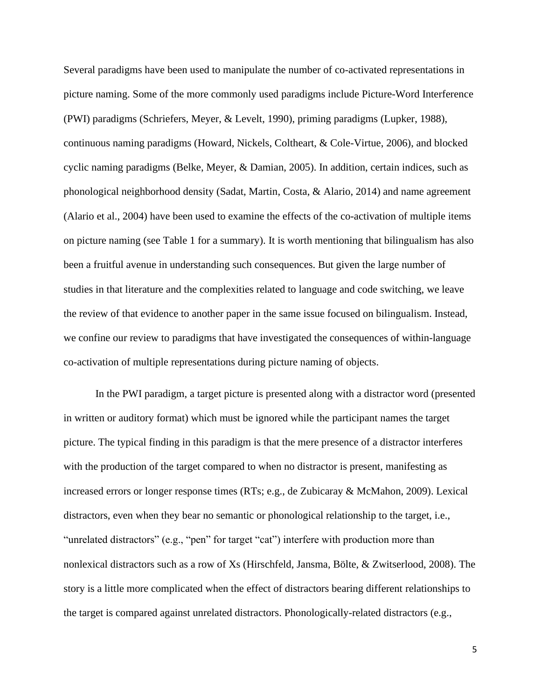Several paradigms have been used to manipulate the number of co-activated representations in picture naming. Some of the more commonly used paradigms include Picture-Word Interference (PWI) paradigms (Schriefers, Meyer, & Levelt, 1990), priming paradigms (Lupker, 1988), continuous naming paradigms (Howard, Nickels, Coltheart, & Cole-Virtue, 2006), and blocked cyclic naming paradigms (Belke, Meyer, & Damian, 2005). In addition, certain indices, such as phonological neighborhood density (Sadat, Martin, Costa, & Alario, 2014) and name agreement (Alario et al., 2004) have been used to examine the effects of the co-activation of multiple items on picture naming (see Table 1 for a summary). It is worth mentioning that bilingualism has also been a fruitful avenue in understanding such consequences. But given the large number of studies in that literature and the complexities related to language and code switching, we leave the review of that evidence to another paper in the same issue focused on bilingualism. Instead, we confine our review to paradigms that have investigated the consequences of within-language co-activation of multiple representations during picture naming of objects.

In the PWI paradigm, a target picture is presented along with a distractor word (presented in written or auditory format) which must be ignored while the participant names the target picture. The typical finding in this paradigm is that the mere presence of a distractor interferes with the production of the target compared to when no distractor is present, manifesting as increased errors or longer response times (RTs; e.g., de Zubicaray & McMahon, 2009). Lexical distractors, even when they bear no semantic or phonological relationship to the target, i.e., "unrelated distractors" (e.g., "pen" for target "cat") interfere with production more than nonlexical distractors such as a row of Xs (Hirschfeld, Jansma, Bölte, & Zwitserlood, 2008). The story is a little more complicated when the effect of distractors bearing different relationships to the target is compared against unrelated distractors. Phonologically-related distractors (e.g.,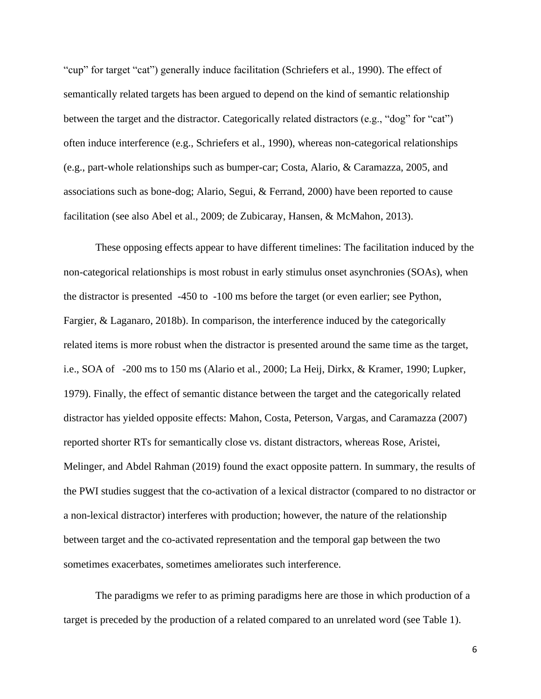"cup" for target "cat") generally induce facilitation (Schriefers et al., 1990). The effect of semantically related targets has been argued to depend on the kind of semantic relationship between the target and the distractor. Categorically related distractors (e.g., "dog" for "cat") often induce interference (e.g., Schriefers et al., 1990), whereas non-categorical relationships (e.g., part-whole relationships such as bumper-car; Costa, Alario, & Caramazza, 2005, and associations such as bone-dog; Alario, Segui, & Ferrand, 2000) have been reported to cause facilitation (see also Abel et al., 2009; de Zubicaray, Hansen, & McMahon, 2013).

These opposing effects appear to have different timelines: The facilitation induced by the non-categorical relationships is most robust in early stimulus onset asynchronies (SOAs), when the distractor is presented -450 to -100 ms before the target (or even earlier; see Python, Fargier, & Laganaro, 2018b). In comparison, the interference induced by the categorically related items is more robust when the distractor is presented around the same time as the target, i.e., SOA of -200 ms to 150 ms (Alario et al., 2000; La Heij, Dirkx, & Kramer, 1990; Lupker, 1979). Finally, the effect of semantic distance between the target and the categorically related distractor has yielded opposite effects: Mahon, Costa, Peterson, Vargas, and Caramazza (2007) reported shorter RTs for semantically close vs. distant distractors, whereas Rose, Aristei, Melinger, and Abdel Rahman (2019) found the exact opposite pattern. In summary, the results of the PWI studies suggest that the co-activation of a lexical distractor (compared to no distractor or a non-lexical distractor) interferes with production; however, the nature of the relationship between target and the co-activated representation and the temporal gap between the two sometimes exacerbates, sometimes ameliorates such interference.

The paradigms we refer to as priming paradigms here are those in which production of a target is preceded by the production of a related compared to an unrelated word (see Table 1).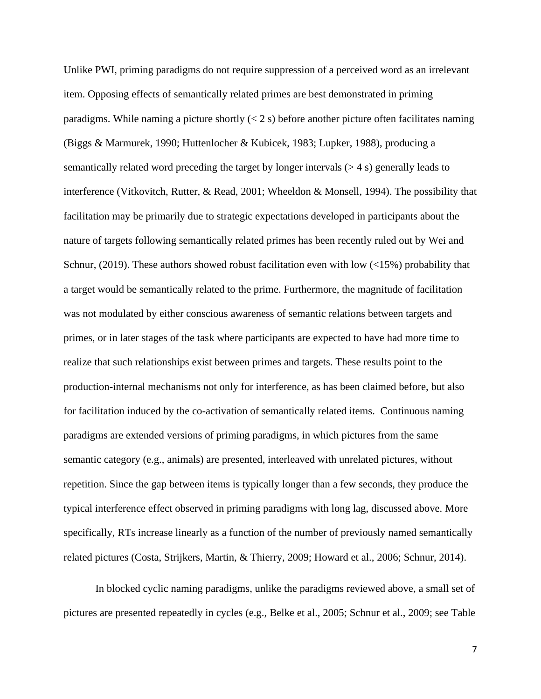Unlike PWI, priming paradigms do not require suppression of a perceived word as an irrelevant item. Opposing effects of semantically related primes are best demonstrated in priming paradigms. While naming a picture shortly  $(< 2 \text{ s})$  before another picture often facilitates naming (Biggs & Marmurek, 1990; Huttenlocher & Kubicek, 1983; Lupker, 1988), producing a semantically related word preceding the target by longer intervals  $(> 4 \text{ s})$  generally leads to interference (Vitkovitch, Rutter, & Read, 2001; Wheeldon & Monsell, 1994). The possibility that facilitation may be primarily due to strategic expectations developed in participants about the nature of targets following semantically related primes has been recently ruled out by Wei and Schnur, (2019). These authors showed robust facilitation even with low (<15%) probability that a target would be semantically related to the prime. Furthermore, the magnitude of facilitation was not modulated by either conscious awareness of semantic relations between targets and primes, or in later stages of the task where participants are expected to have had more time to realize that such relationships exist between primes and targets. These results point to the production-internal mechanisms not only for interference, as has been claimed before, but also for facilitation induced by the co-activation of semantically related items. Continuous naming paradigms are extended versions of priming paradigms, in which pictures from the same semantic category (e.g., animals) are presented, interleaved with unrelated pictures, without repetition. Since the gap between items is typically longer than a few seconds, they produce the typical interference effect observed in priming paradigms with long lag, discussed above. More specifically, RTs increase linearly as a function of the number of previously named semantically related pictures (Costa, Strijkers, Martin, & Thierry, 2009; Howard et al., 2006; Schnur, 2014).

In blocked cyclic naming paradigms, unlike the paradigms reviewed above, a small set of pictures are presented repeatedly in cycles (e.g., Belke et al., 2005; Schnur et al., 2009; see Table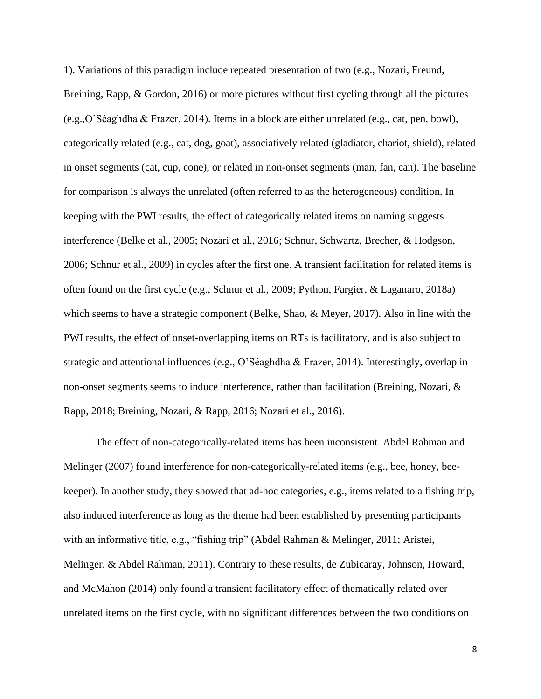1). Variations of this paradigm include repeated presentation of two (e.g., Nozari, Freund, Breining, Rapp, & Gordon, 2016) or more pictures without first cycling through all the pictures (e.g.,O'Séaghdha & Frazer, 2014). Items in a block are either unrelated (e.g., cat, pen, bowl), categorically related (e.g., cat, dog, goat), associatively related (gladiator, chariot, shield), related in onset segments (cat, cup, cone), or related in non-onset segments (man, fan, can). The baseline for comparison is always the unrelated (often referred to as the heterogeneous) condition. In keeping with the PWI results, the effect of categorically related items on naming suggests interference (Belke et al., 2005; Nozari et al., 2016; Schnur, Schwartz, Brecher, & Hodgson, 2006; Schnur et al., 2009) in cycles after the first one. A transient facilitation for related items is often found on the first cycle (e.g., Schnur et al., 2009; Python, Fargier, & Laganaro, 2018a) which seems to have a strategic component (Belke, Shao, & Meyer, 2017). Also in line with the PWI results, the effect of onset-overlapping items on RTs is facilitatory, and is also subject to strategic and attentional influences (e.g., O'Séaghdha & Frazer, 2014). Interestingly, overlap in non-onset segments seems to induce interference, rather than facilitation (Breining, Nozari, & Rapp, 2018; Breining, Nozari, & Rapp, 2016; Nozari et al., 2016).

The effect of non-categorically-related items has been inconsistent. Abdel Rahman and Melinger (2007) found interference for non-categorically-related items (e.g., bee, honey, beekeeper). In another study, they showed that ad-hoc categories, e.g., items related to a fishing trip, also induced interference as long as the theme had been established by presenting participants with an informative title, e.g., "fishing trip" (Abdel Rahman & Melinger, 2011; Aristei, Melinger, & Abdel Rahman, 2011). Contrary to these results, de Zubicaray, Johnson, Howard, and McMahon (2014) only found a transient facilitatory effect of thematically related over unrelated items on the first cycle, with no significant differences between the two conditions on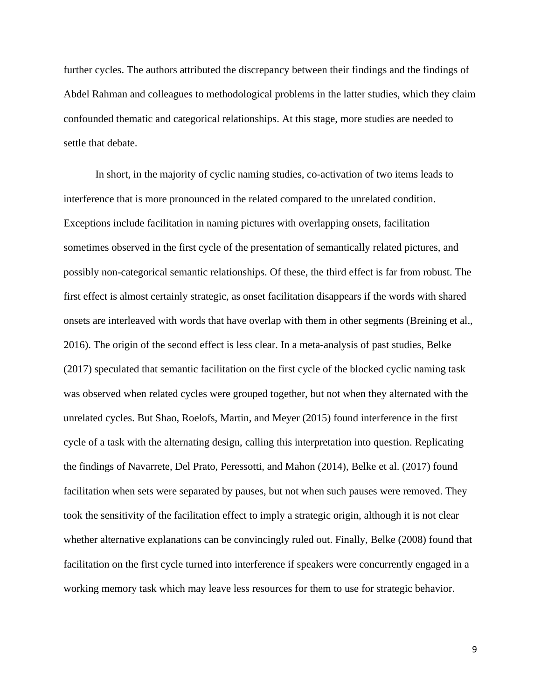further cycles. The authors attributed the discrepancy between their findings and the findings of Abdel Rahman and colleagues to methodological problems in the latter studies, which they claim confounded thematic and categorical relationships. At this stage, more studies are needed to settle that debate.

In short, in the majority of cyclic naming studies, co-activation of two items leads to interference that is more pronounced in the related compared to the unrelated condition. Exceptions include facilitation in naming pictures with overlapping onsets, facilitation sometimes observed in the first cycle of the presentation of semantically related pictures, and possibly non-categorical semantic relationships. Of these, the third effect is far from robust. The first effect is almost certainly strategic, as onset facilitation disappears if the words with shared onsets are interleaved with words that have overlap with them in other segments (Breining et al., 2016). The origin of the second effect is less clear. In a meta-analysis of past studies, Belke (2017) speculated that semantic facilitation on the first cycle of the blocked cyclic naming task was observed when related cycles were grouped together, but not when they alternated with the unrelated cycles. But Shao, Roelofs, Martin, and Meyer (2015) found interference in the first cycle of a task with the alternating design, calling this interpretation into question. Replicating the findings of Navarrete, Del Prato, Peressotti, and Mahon (2014), Belke et al. (2017) found facilitation when sets were separated by pauses, but not when such pauses were removed. They took the sensitivity of the facilitation effect to imply a strategic origin, although it is not clear whether alternative explanations can be convincingly ruled out. Finally, Belke (2008) found that facilitation on the first cycle turned into interference if speakers were concurrently engaged in a working memory task which may leave less resources for them to use for strategic behavior.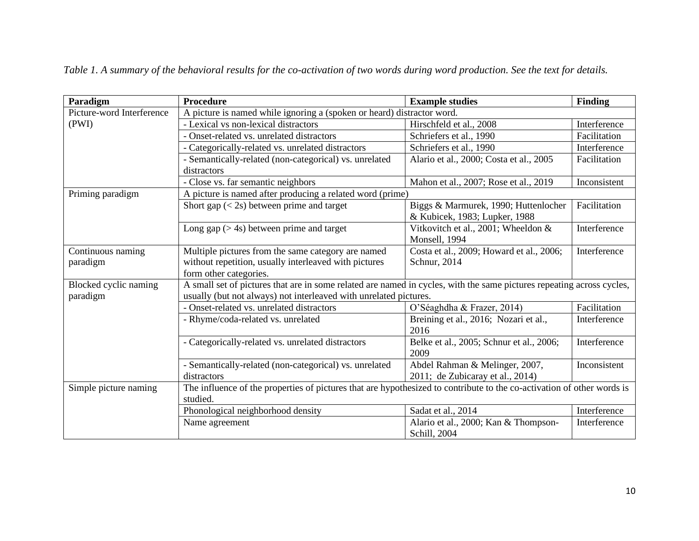| Paradigm                  | <b>Procedure</b>                                                                                                                   | <b>Example studies</b>                   | <b>Finding</b> |  |  |
|---------------------------|------------------------------------------------------------------------------------------------------------------------------------|------------------------------------------|----------------|--|--|
| Picture-word Interference | A picture is named while ignoring a (spoken or heard) distractor word.                                                             |                                          |                |  |  |
| (PWI)                     | - Lexical vs non-lexical distractors                                                                                               | Hirschfeld et al., 2008                  | Interference   |  |  |
|                           | - Onset-related vs. unrelated distractors                                                                                          | Schriefers et al., 1990                  | Facilitation   |  |  |
|                           | - Categorically-related vs. unrelated distractors                                                                                  | Schriefers et al., 1990                  | Interference   |  |  |
|                           | - Semantically-related (non-categorical) vs. unrelated                                                                             | Alario et al., 2000; Costa et al., 2005  | Facilitation   |  |  |
|                           | distractors                                                                                                                        |                                          |                |  |  |
|                           | - Close vs. far semantic neighbors                                                                                                 | Mahon et al., 2007; Rose et al., 2019    | Inconsistent   |  |  |
| Priming paradigm          | A picture is named after producing a related word (prime)                                                                          |                                          |                |  |  |
|                           | Short gap $(< 2s)$ between prime and target                                                                                        | Biggs & Marmurek, 1990; Huttenlocher     | Facilitation   |  |  |
|                           |                                                                                                                                    | & Kubicek, 1983; Lupker, 1988            |                |  |  |
|                           | Long gap $($ > 4s) between prime and target                                                                                        | Vitkovitch et al., 2001; Wheeldon &      | Interference   |  |  |
|                           |                                                                                                                                    | Monsell, 1994                            |                |  |  |
| Continuous naming         | Multiple pictures from the same category are named                                                                                 | Costa et al., 2009; Howard et al., 2006; | Interference   |  |  |
| paradigm                  | without repetition, usually interleaved with pictures                                                                              | Schnur, 2014                             |                |  |  |
|                           | form other categories.                                                                                                             |                                          |                |  |  |
| Blocked cyclic naming     | A small set of pictures that are in some related are named in cycles, with the same pictures repeating across cycles,              |                                          |                |  |  |
| paradigm                  | usually (but not always) not interleaved with unrelated pictures.                                                                  |                                          |                |  |  |
|                           | - Onset-related vs. unrelated distractors                                                                                          | O'Séaghdha & Frazer, 2014)               | Facilitation   |  |  |
|                           | - Rhyme/coda-related vs. unrelated                                                                                                 | Breining et al., 2016; Nozari et al.,    | Interference   |  |  |
|                           |                                                                                                                                    | 2016                                     |                |  |  |
|                           | - Categorically-related vs. unrelated distractors                                                                                  | Belke et al., 2005; Schnur et al., 2006; | Interference   |  |  |
|                           |                                                                                                                                    | 2009                                     |                |  |  |
|                           | - Semantically-related (non-categorical) vs. unrelated                                                                             | Abdel Rahman & Melinger, 2007,           | Inconsistent   |  |  |
|                           | distractors                                                                                                                        | 2011; de Zubicaray et al., 2014)         |                |  |  |
| Simple picture naming     | The influence of the properties of pictures that are hypothesized to contribute to the co-activation of other words is<br>studied. |                                          |                |  |  |
|                           | Phonological neighborhood density                                                                                                  | Sadat et al., 2014                       | Interference   |  |  |
|                           | Name agreement                                                                                                                     | Alario et al., 2000; Kan & Thompson-     | Interference   |  |  |
|                           |                                                                                                                                    | Schill, 2004                             |                |  |  |

*Table 1. A summary of the behavioral results for the co-activation of two words during word production. See the text for details.*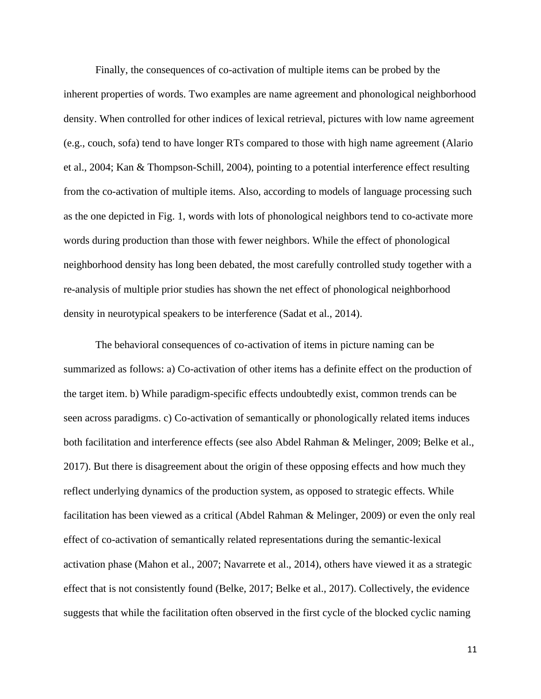Finally, the consequences of co-activation of multiple items can be probed by the inherent properties of words. Two examples are name agreement and phonological neighborhood density. When controlled for other indices of lexical retrieval, pictures with low name agreement (e.g., couch, sofa) tend to have longer RTs compared to those with high name agreement (Alario et al., 2004; Kan & Thompson-Schill, 2004), pointing to a potential interference effect resulting from the co-activation of multiple items. Also, according to models of language processing such as the one depicted in Fig. 1, words with lots of phonological neighbors tend to co-activate more words during production than those with fewer neighbors. While the effect of phonological neighborhood density has long been debated, the most carefully controlled study together with a re-analysis of multiple prior studies has shown the net effect of phonological neighborhood density in neurotypical speakers to be interference (Sadat et al., 2014).

The behavioral consequences of co-activation of items in picture naming can be summarized as follows: a) Co-activation of other items has a definite effect on the production of the target item. b) While paradigm-specific effects undoubtedly exist, common trends can be seen across paradigms. c) Co-activation of semantically or phonologically related items induces both facilitation and interference effects (see also Abdel Rahman & Melinger, 2009; Belke et al., 2017). But there is disagreement about the origin of these opposing effects and how much they reflect underlying dynamics of the production system, as opposed to strategic effects. While facilitation has been viewed as a critical (Abdel Rahman & Melinger, 2009) or even the only real effect of co-activation of semantically related representations during the semantic-lexical activation phase (Mahon et al., 2007; Navarrete et al., 2014), others have viewed it as a strategic effect that is not consistently found (Belke, 2017; Belke et al., 2017). Collectively, the evidence suggests that while the facilitation often observed in the first cycle of the blocked cyclic naming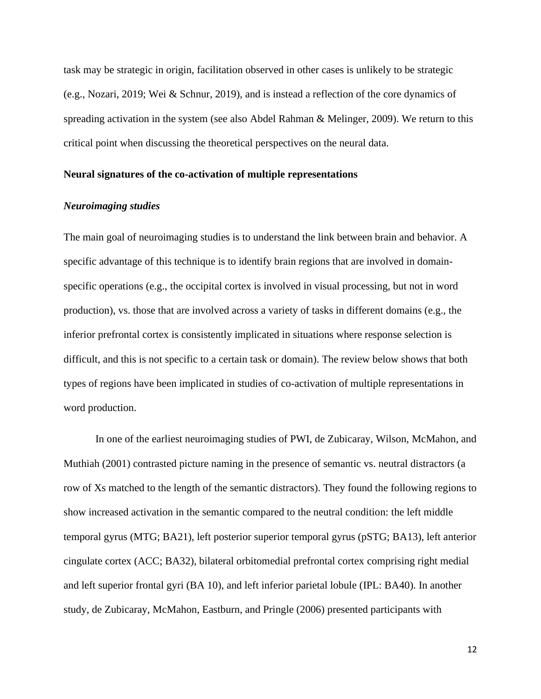task may be strategic in origin, facilitation observed in other cases is unlikely to be strategic (e.g., Nozari, 2019; Wei & Schnur, 2019), and is instead a reflection of the core dynamics of spreading activation in the system (see also Abdel Rahman & Melinger, 2009). We return to this critical point when discussing the theoretical perspectives on the neural data.

#### **Neural signatures of the co-activation of multiple representations**

### *Neuroimaging studies*

The main goal of neuroimaging studies is to understand the link between brain and behavior. A specific advantage of this technique is to identify brain regions that are involved in domainspecific operations (e.g., the occipital cortex is involved in visual processing, but not in word production), vs. those that are involved across a variety of tasks in different domains (e.g., the inferior prefrontal cortex is consistently implicated in situations where response selection is difficult, and this is not specific to a certain task or domain). The review below shows that both types of regions have been implicated in studies of co-activation of multiple representations in word production.

In one of the earliest neuroimaging studies of PWI, de Zubicaray, Wilson, McMahon, and Muthiah (2001) contrasted picture naming in the presence of semantic vs. neutral distractors (a row of Xs matched to the length of the semantic distractors). They found the following regions to show increased activation in the semantic compared to the neutral condition: the left middle temporal gyrus (MTG; BA21), left posterior superior temporal gyrus (pSTG; BA13), left anterior cingulate cortex (ACC; BA32), bilateral orbitomedial prefrontal cortex comprising right medial and left superior frontal gyri (BA 10), and left inferior parietal lobule (IPL: BA40). In another study, de Zubicaray, McMahon, Eastburn, and Pringle (2006) presented participants with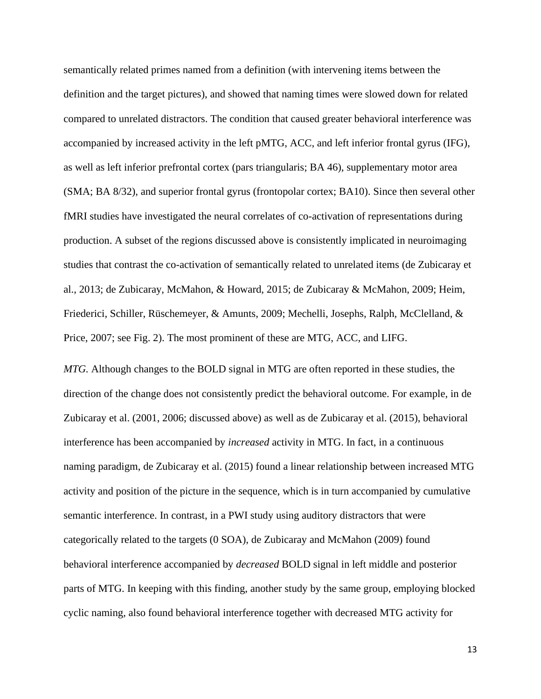semantically related primes named from a definition (with intervening items between the definition and the target pictures), and showed that naming times were slowed down for related compared to unrelated distractors. The condition that caused greater behavioral interference was accompanied by increased activity in the left pMTG, ACC, and left inferior frontal gyrus (IFG), as well as left inferior prefrontal cortex (pars triangularis; BA 46), supplementary motor area (SMA; BA 8/32), and superior frontal gyrus (frontopolar cortex; BA10). Since then several other fMRI studies have investigated the neural correlates of co-activation of representations during production. A subset of the regions discussed above is consistently implicated in neuroimaging studies that contrast the co-activation of semantically related to unrelated items (de Zubicaray et al., 2013; de Zubicaray, McMahon, & Howard, 2015; de Zubicaray & McMahon, 2009; Heim, Friederici, Schiller, Rüschemeyer, & Amunts, 2009; Mechelli, Josephs, Ralph, McClelland, & Price, 2007; see Fig. 2). The most prominent of these are MTG, ACC, and LIFG.

*MTG.* Although changes to the BOLD signal in MTG are often reported in these studies, the direction of the change does not consistently predict the behavioral outcome. For example, in de Zubicaray et al. (2001, 2006; discussed above) as well as de Zubicaray et al. (2015), behavioral interference has been accompanied by *increased* activity in MTG. In fact, in a continuous naming paradigm, de Zubicaray et al. (2015) found a linear relationship between increased MTG activity and position of the picture in the sequence, which is in turn accompanied by cumulative semantic interference. In contrast, in a PWI study using auditory distractors that were categorically related to the targets (0 SOA), de Zubicaray and McMahon (2009) found behavioral interference accompanied by *decreased* BOLD signal in left middle and posterior parts of MTG. In keeping with this finding, another study by the same group, employing blocked cyclic naming, also found behavioral interference together with decreased MTG activity for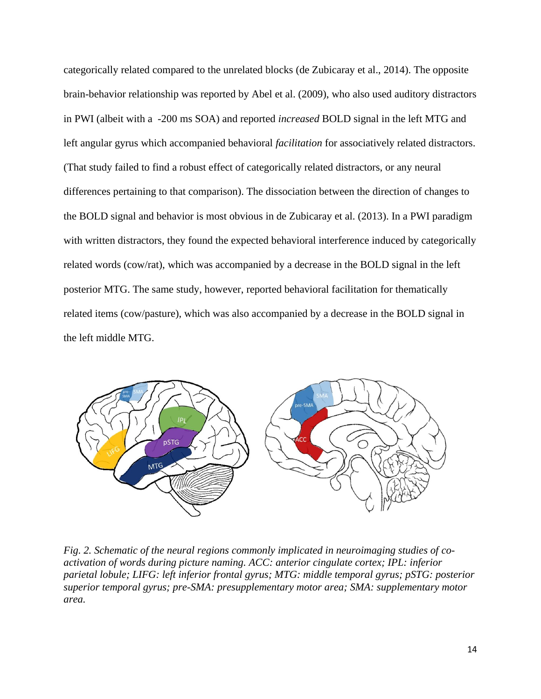categorically related compared to the unrelated blocks (de Zubicaray et al., 2014). The opposite brain-behavior relationship was reported by Abel et al. (2009), who also used auditory distractors in PWI (albeit with a -200 ms SOA) and reported *increased* BOLD signal in the left MTG and left angular gyrus which accompanied behavioral *facilitation* for associatively related distractors. (That study failed to find a robust effect of categorically related distractors, or any neural differences pertaining to that comparison). The dissociation between the direction of changes to the BOLD signal and behavior is most obvious in de Zubicaray et al. (2013). In a PWI paradigm with written distractors, they found the expected behavioral interference induced by categorically related words (cow/rat), which was accompanied by a decrease in the BOLD signal in the left posterior MTG. The same study, however, reported behavioral facilitation for thematically related items (cow/pasture), which was also accompanied by a decrease in the BOLD signal in the left middle MTG.



*Fig. 2. Schematic of the neural regions commonly implicated in neuroimaging studies of coactivation of words during picture naming. ACC: anterior cingulate cortex; IPL: inferior parietal lobule; LIFG: left inferior frontal gyrus; MTG: middle temporal gyrus; pSTG: posterior superior temporal gyrus; pre-SMA: presupplementary motor area; SMA: supplementary motor area.*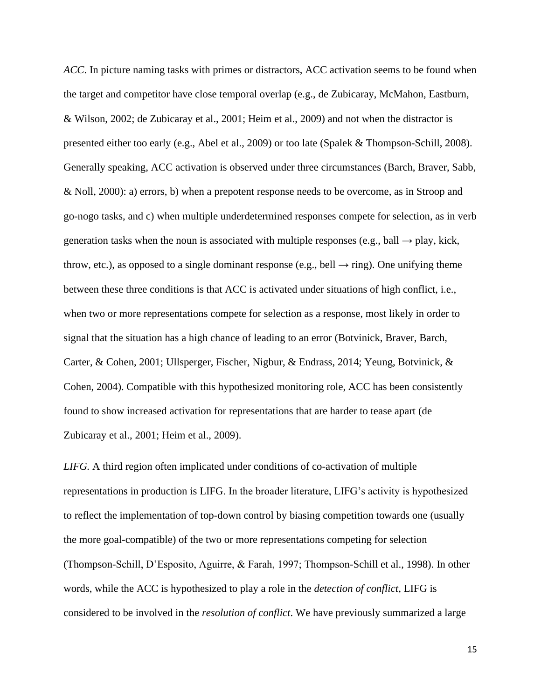*ACC*. In picture naming tasks with primes or distractors, ACC activation seems to be found when the target and competitor have close temporal overlap (e.g., de Zubicaray, McMahon, Eastburn, & Wilson, 2002; de Zubicaray et al., 2001; Heim et al., 2009) and not when the distractor is presented either too early (e.g., Abel et al., 2009) or too late (Spalek & Thompson-Schill, 2008). Generally speaking, ACC activation is observed under three circumstances (Barch, Braver, Sabb, & Noll, 2000): a) errors, b) when a prepotent response needs to be overcome, as in Stroop and go-nogo tasks, and c) when multiple underdetermined responses compete for selection, as in verb generation tasks when the noun is associated with multiple responses (e.g., ball  $\rightarrow$  play, kick, throw, etc.), as opposed to a single dominant response (e.g., bell  $\rightarrow$  ring). One unifying theme between these three conditions is that ACC is activated under situations of high conflict, i.e., when two or more representations compete for selection as a response, most likely in order to signal that the situation has a high chance of leading to an error (Botvinick, Braver, Barch, Carter, & Cohen, 2001; Ullsperger, Fischer, Nigbur, & Endrass, 2014; Yeung, Botvinick, & Cohen, 2004). Compatible with this hypothesized monitoring role, ACC has been consistently found to show increased activation for representations that are harder to tease apart (de Zubicaray et al., 2001; Heim et al., 2009).

*LIFG.* A third region often implicated under conditions of co-activation of multiple representations in production is LIFG. In the broader literature, LIFG's activity is hypothesized to reflect the implementation of top-down control by biasing competition towards one (usually the more goal-compatible) of the two or more representations competing for selection (Thompson-Schill, D'Esposito, Aguirre, & Farah, 1997; Thompson-Schill et al., 1998). In other words, while the ACC is hypothesized to play a role in the *detection of conflict*, LIFG is considered to be involved in the *resolution of conflict*. We have previously summarized a large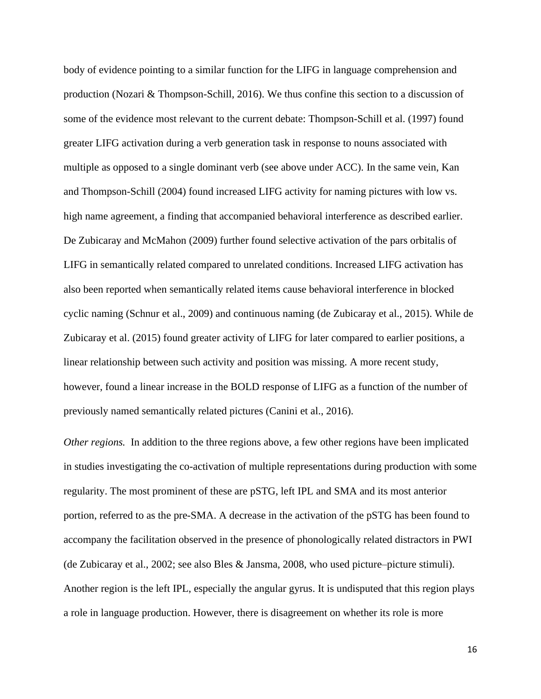body of evidence pointing to a similar function for the LIFG in language comprehension and production (Nozari & Thompson-Schill, 2016). We thus confine this section to a discussion of some of the evidence most relevant to the current debate: Thompson-Schill et al. (1997) found greater LIFG activation during a verb generation task in response to nouns associated with multiple as opposed to a single dominant verb (see above under ACC). In the same vein, Kan and Thompson-Schill (2004) found increased LIFG activity for naming pictures with low vs. high name agreement, a finding that accompanied behavioral interference as described earlier. De Zubicaray and McMahon (2009) further found selective activation of the pars orbitalis of LIFG in semantically related compared to unrelated conditions. Increased LIFG activation has also been reported when semantically related items cause behavioral interference in blocked cyclic naming (Schnur et al., 2009) and continuous naming (de Zubicaray et al., 2015). While de Zubicaray et al. (2015) found greater activity of LIFG for later compared to earlier positions, a linear relationship between such activity and position was missing. A more recent study, however, found a linear increase in the BOLD response of LIFG as a function of the number of previously named semantically related pictures (Canini et al., 2016).

*Other regions.* In addition to the three regions above, a few other regions have been implicated in studies investigating the co-activation of multiple representations during production with some regularity. The most prominent of these are pSTG, left IPL and SMA and its most anterior portion, referred to as the pre-SMA. A decrease in the activation of the pSTG has been found to accompany the facilitation observed in the presence of phonologically related distractors in PWI (de Zubicaray et al., 2002; see also Bles & Jansma, 2008, who used picture–picture stimuli). Another region is the left IPL, especially the angular gyrus. It is undisputed that this region plays a role in language production. However, there is disagreement on whether its role is more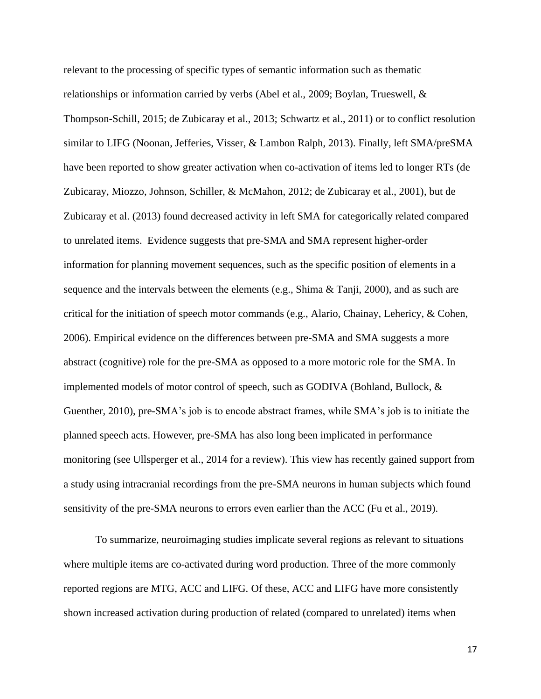relevant to the processing of specific types of semantic information such as thematic relationships or information carried by verbs (Abel et al., 2009; Boylan, Trueswell, & Thompson-Schill, 2015; de Zubicaray et al., 2013; Schwartz et al., 2011) or to conflict resolution similar to LIFG (Noonan, Jefferies, Visser, & Lambon Ralph, 2013). Finally, left SMA/preSMA have been reported to show greater activation when co-activation of items led to longer RTs (de Zubicaray, Miozzo, Johnson, Schiller, & McMahon, 2012; de Zubicaray et al., 2001), but de Zubicaray et al. (2013) found decreased activity in left SMA for categorically related compared to unrelated items. Evidence suggests that pre-SMA and SMA represent higher-order information for planning movement sequences, such as the specific position of elements in a sequence and the intervals between the elements (e.g., Shima  $\&$  Tanji, 2000), and as such are critical for the initiation of speech motor commands (e.g., Alario, Chainay, Lehericy, & Cohen, 2006). Empirical evidence on the differences between pre-SMA and SMA suggests a more abstract (cognitive) role for the pre-SMA as opposed to a more motoric role for the SMA. In implemented models of motor control of speech, such as GODIVA (Bohland, Bullock, & Guenther, 2010), pre-SMA's job is to encode abstract frames, while SMA's job is to initiate the planned speech acts. However, pre-SMA has also long been implicated in performance monitoring (see Ullsperger et al., 2014 for a review). This view has recently gained support from a study using intracranial recordings from the pre-SMA neurons in human subjects which found sensitivity of the pre-SMA neurons to errors even earlier than the ACC (Fu et al., 2019).

To summarize, neuroimaging studies implicate several regions as relevant to situations where multiple items are co-activated during word production. Three of the more commonly reported regions are MTG, ACC and LIFG. Of these, ACC and LIFG have more consistently shown increased activation during production of related (compared to unrelated) items when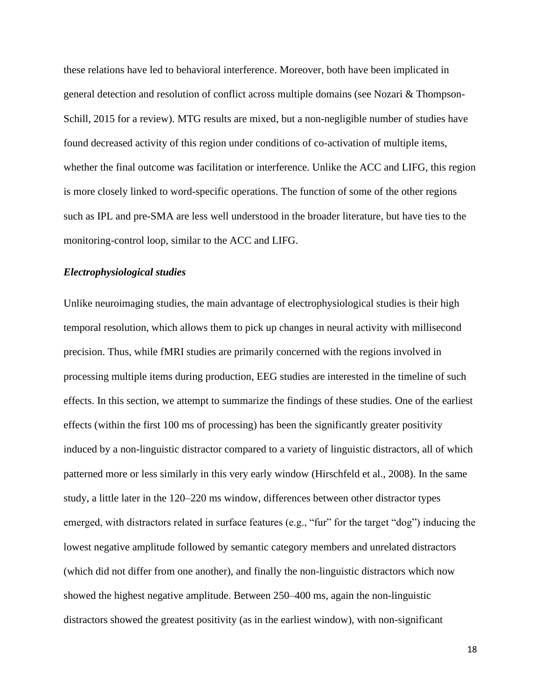these relations have led to behavioral interference. Moreover, both have been implicated in general detection and resolution of conflict across multiple domains (see Nozari & Thompson-Schill, 2015 for a review). MTG results are mixed, but a non-negligible number of studies have found decreased activity of this region under conditions of co-activation of multiple items, whether the final outcome was facilitation or interference. Unlike the ACC and LIFG, this region is more closely linked to word-specific operations. The function of some of the other regions such as IPL and pre-SMA are less well understood in the broader literature, but have ties to the monitoring-control loop, similar to the ACC and LIFG.

# *Electrophysiological studies*

Unlike neuroimaging studies, the main advantage of electrophysiological studies is their high temporal resolution, which allows them to pick up changes in neural activity with millisecond precision. Thus, while fMRI studies are primarily concerned with the regions involved in processing multiple items during production, EEG studies are interested in the timeline of such effects. In this section, we attempt to summarize the findings of these studies. One of the earliest effects (within the first 100 ms of processing) has been the significantly greater positivity induced by a non-linguistic distractor compared to a variety of linguistic distractors, all of which patterned more or less similarly in this very early window (Hirschfeld et al., 2008). In the same study, a little later in the 120–220 ms window, differences between other distractor types emerged, with distractors related in surface features (e.g., "fur" for the target "dog") inducing the lowest negative amplitude followed by semantic category members and unrelated distractors (which did not differ from one another), and finally the non-linguistic distractors which now showed the highest negative amplitude. Between 250–400 ms, again the non-linguistic distractors showed the greatest positivity (as in the earliest window), with non-significant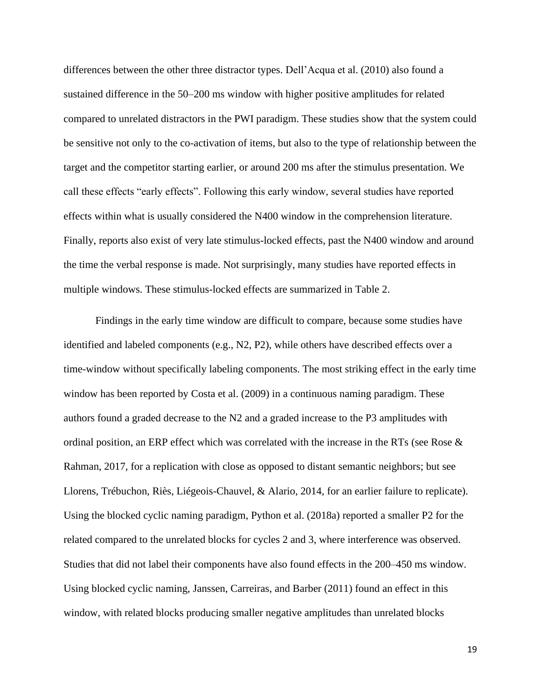differences between the other three distractor types. Dell'Acqua et al. (2010) also found a sustained difference in the 50–200 ms window with higher positive amplitudes for related compared to unrelated distractors in the PWI paradigm. These studies show that the system could be sensitive not only to the co-activation of items, but also to the type of relationship between the target and the competitor starting earlier, or around 200 ms after the stimulus presentation. We call these effects "early effects". Following this early window, several studies have reported effects within what is usually considered the N400 window in the comprehension literature. Finally, reports also exist of very late stimulus-locked effects, past the N400 window and around the time the verbal response is made. Not surprisingly, many studies have reported effects in multiple windows. These stimulus-locked effects are summarized in Table 2.

Findings in the early time window are difficult to compare, because some studies have identified and labeled components (e.g., N2, P2), while others have described effects over a time-window without specifically labeling components. The most striking effect in the early time window has been reported by Costa et al. (2009) in a continuous naming paradigm. These authors found a graded decrease to the N2 and a graded increase to the P3 amplitudes with ordinal position, an ERP effect which was correlated with the increase in the RTs (see Rose & Rahman, 2017, for a replication with close as opposed to distant semantic neighbors; but see Llorens, Trébuchon, Riès, Liégeois-Chauvel, & Alario, 2014, for an earlier failure to replicate). Using the blocked cyclic naming paradigm, Python et al. (2018a) reported a smaller P2 for the related compared to the unrelated blocks for cycles 2 and 3, where interference was observed. Studies that did not label their components have also found effects in the 200–450 ms window. Using blocked cyclic naming, Janssen, Carreiras, and Barber (2011) found an effect in this window, with related blocks producing smaller negative amplitudes than unrelated blocks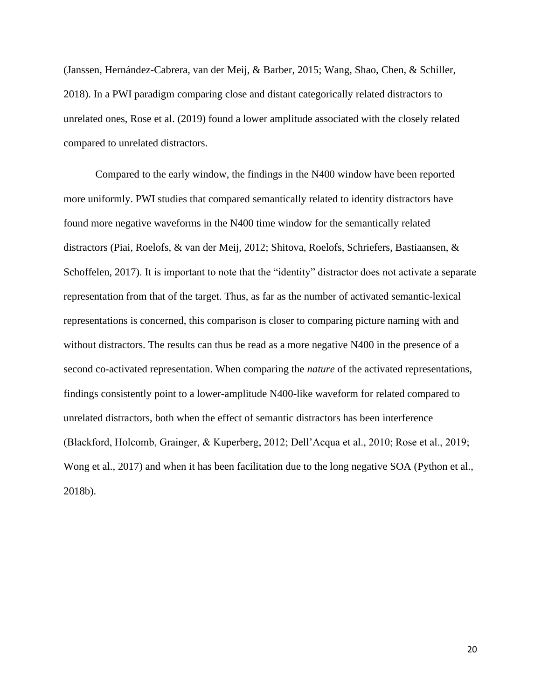(Janssen, Hernández-Cabrera, van der Meij, & Barber, 2015; Wang, Shao, Chen, & Schiller, 2018). In a PWI paradigm comparing close and distant categorically related distractors to unrelated ones, Rose et al. (2019) found a lower amplitude associated with the closely related compared to unrelated distractors.

Compared to the early window, the findings in the N400 window have been reported more uniformly. PWI studies that compared semantically related to identity distractors have found more negative waveforms in the N400 time window for the semantically related distractors (Piai, Roelofs, & van der Meij, 2012; Shitova, Roelofs, Schriefers, Bastiaansen, & Schoffelen, 2017). It is important to note that the "identity" distractor does not activate a separate representation from that of the target. Thus, as far as the number of activated semantic-lexical representations is concerned, this comparison is closer to comparing picture naming with and without distractors. The results can thus be read as a more negative N400 in the presence of a second co-activated representation. When comparing the *nature* of the activated representations, findings consistently point to a lower-amplitude N400-like waveform for related compared to unrelated distractors, both when the effect of semantic distractors has been interference (Blackford, Holcomb, Grainger, & Kuperberg, 2012; Dell'Acqua et al., 2010; Rose et al., 2019; Wong et al., 2017) and when it has been facilitation due to the long negative SOA (Python et al., 2018b).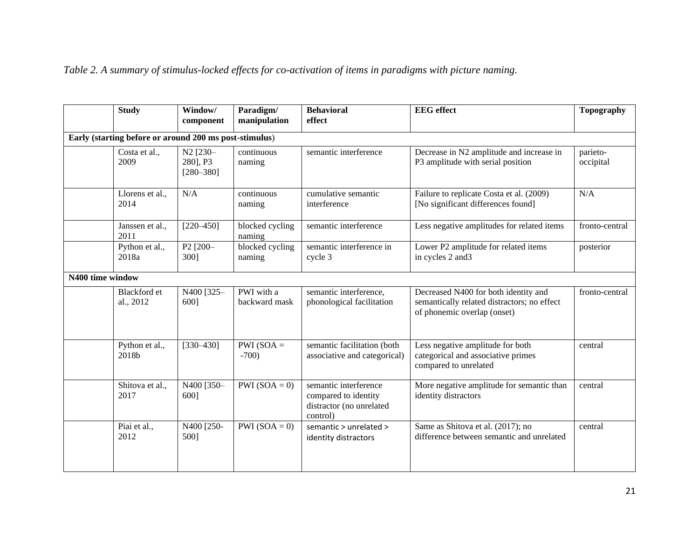*Table 2. A summary of stimulus-locked effects for co-activation of items in paradigms with picture naming.*

|                                                        | <b>Study</b>                        | Window/<br>component                              | Paradigm/<br>manipulation   | <b>Behavioral</b><br>effect                                                           | <b>EEG</b> effect                                                                                                  | <b>Topography</b>     |  |  |
|--------------------------------------------------------|-------------------------------------|---------------------------------------------------|-----------------------------|---------------------------------------------------------------------------------------|--------------------------------------------------------------------------------------------------------------------|-----------------------|--|--|
| Early (starting before or around 200 ms post-stimulus) |                                     |                                                   |                             |                                                                                       |                                                                                                                    |                       |  |  |
|                                                        | Costa et al.,<br>2009               | N <sub>2</sub> [230-<br>280], P3<br>$[280 - 380]$ | continuous<br>naming        | semantic interference                                                                 | Decrease in N2 amplitude and increase in<br>P3 amplitude with serial position                                      | parieto-<br>occipital |  |  |
|                                                        | Llorens et al.,<br>2014             | N/A                                               | continuous<br>naming        | cumulative semantic<br>interference                                                   | Failure to replicate Costa et al. (2009)<br>[No significant differences found]                                     | N/A                   |  |  |
|                                                        | Janssen et al.,<br>2011             | $[220 - 450]$                                     | blocked cycling<br>naming   | semantic interference                                                                 | Less negative amplitudes for related items                                                                         | fronto-central        |  |  |
|                                                        | Python et al.,<br>2018a             | P <sub>2</sub> [200-<br>300]                      | blocked cycling<br>naming   | semantic interference in<br>cycle 3                                                   | Lower P2 amplitude for related items<br>in cycles 2 and 3                                                          | posterior             |  |  |
| N400 time window                                       |                                     |                                                   |                             |                                                                                       |                                                                                                                    |                       |  |  |
|                                                        | Blackford et<br>al., 2012           | N400 [325-<br>600]                                | PWI with a<br>backward mask | semantic interference,<br>phonological facilitation                                   | Decreased N400 for both identity and<br>semantically related distractors; no effect<br>of phonemic overlap (onset) | fronto-central        |  |  |
|                                                        | Python et al.,<br>2018 <sub>b</sub> | $[330 - 430]$                                     | $PWI (SOA =$<br>$-700$      | semantic facilitation (both<br>associative and categorical)                           | Less negative amplitude for both<br>categorical and associative primes<br>compared to unrelated                    | central               |  |  |
|                                                        | Shitova et al.,<br>2017             | N400 [350-<br>600]                                | $PWI (SOA = 0)$             | semantic interference<br>compared to identity<br>distractor (no unrelated<br>control) | More negative amplitude for semantic than<br>identity distractors                                                  | central               |  |  |
|                                                        | Piai et al.,<br>2012                | N400 [250-<br>500]                                | $PWI (SOA = 0)$             | semantic > unrelated ><br>identity distractors                                        | Same as Shitova et al. (2017); no<br>difference between semantic and unrelated                                     | central               |  |  |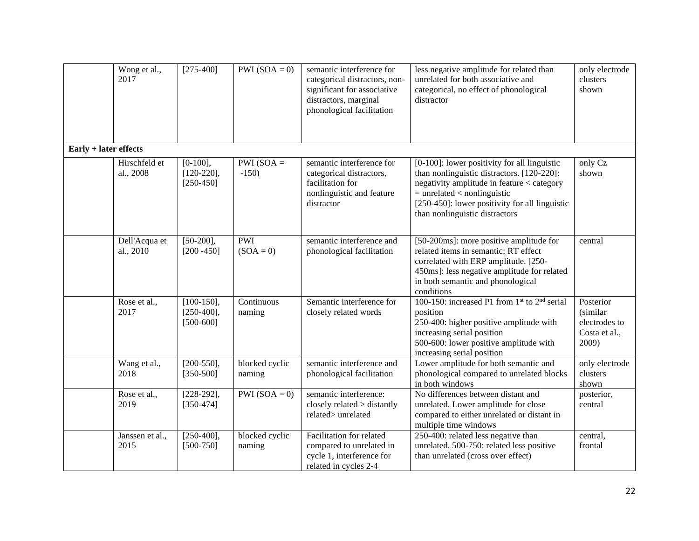| Wong et al.,<br>2017       | $[275 - 400]$                                   | $PWI (SOA = 0)$           | semantic interference for<br>categorical distractors, non-<br>significant for associative<br>distractors, marginal<br>phonological facilitation | less negative amplitude for related than<br>unrelated for both associative and<br>categorical, no effect of phonological<br>distractor                                                                                                                          | only electrode<br>clusters<br>shown                              |  |  |  |
|----------------------------|-------------------------------------------------|---------------------------|-------------------------------------------------------------------------------------------------------------------------------------------------|-----------------------------------------------------------------------------------------------------------------------------------------------------------------------------------------------------------------------------------------------------------------|------------------------------------------------------------------|--|--|--|
| Early + later effects      |                                                 |                           |                                                                                                                                                 |                                                                                                                                                                                                                                                                 |                                                                  |  |  |  |
| Hirschfeld et<br>al., 2008 | $[0-100]$ ,<br>$[120-220]$ ,<br>$[250 - 450]$   | $PWI (SOA =$<br>$-150$    | semantic interference for<br>categorical distractors,<br>facilitation for<br>nonlinguistic and feature<br>distractor                            | [0-100]: lower positivity for all linguistic<br>than nonlinguistic distractors. [120-220]:<br>negativity amplitude in feature < category<br>$=$ unrelated $<$ nonlinguistic<br>[250-450]: lower positivity for all linguistic<br>than nonlinguistic distractors | only Cz<br>shown                                                 |  |  |  |
| Dell'Acqua et<br>al., 2010 | $[50-200]$ ,<br>$[200 - 450]$                   | <b>PWI</b><br>$(SOA = 0)$ | semantic interference and<br>phonological facilitation                                                                                          | [50-200ms]: more positive amplitude for<br>related items in semantic; RT effect<br>correlated with ERP amplitude. [250-<br>450ms]: less negative amplitude for related<br>in both semantic and phonological<br>conditions                                       | central                                                          |  |  |  |
| Rose et al.,<br>2017       | $[100-150]$ ,<br>$[250-400]$ ,<br>$[500 - 600]$ | Continuous<br>naming      | Semantic interference for<br>closely related words                                                                                              | 100-150: increased P1 from 1 <sup>st</sup> to 2 <sup>nd</sup> serial<br>position<br>250-400: higher positive amplitude with<br>increasing serial position<br>500-600: lower positive amplitude with<br>increasing serial position                               | Posterior<br>(similar<br>electrodes to<br>Costa et al.,<br>2009) |  |  |  |
| Wang et al.,<br>2018       | $[200-550]$ ,<br>$[350 - 500]$                  | blocked cyclic<br>naming  | semantic interference and<br>phonological facilitation                                                                                          | Lower amplitude for both semantic and<br>phonological compared to unrelated blocks<br>in both windows                                                                                                                                                           | only electrode<br>clusters<br>shown                              |  |  |  |
| Rose et al.,<br>2019       | $[228-292]$ ,<br>$[350-474]$                    | $PWI (SOA = 0)$           | semantic interference:<br>closely related $>$ distantly<br>related> unrelated                                                                   | No differences between distant and<br>unrelated. Lower amplitude for close<br>compared to either unrelated or distant in<br>multiple time windows                                                                                                               | posterior,<br>central                                            |  |  |  |
| Janssen et al.,<br>2015    | $[250-400]$ ,<br>$[500 - 750]$                  | blocked cyclic<br>naming  | Facilitation for related<br>compared to unrelated in<br>cycle 1, interference for<br>related in cycles 2-4                                      | 250-400: related less negative than<br>unrelated. 500-750: related less positive<br>than unrelated (cross over effect)                                                                                                                                          | central,<br>frontal                                              |  |  |  |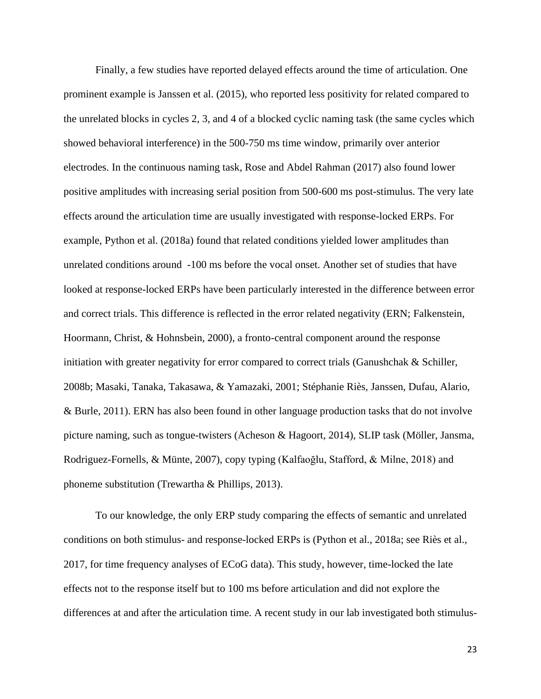Finally, a few studies have reported delayed effects around the time of articulation. One prominent example is Janssen et al. (2015), who reported less positivity for related compared to the unrelated blocks in cycles 2, 3, and 4 of a blocked cyclic naming task (the same cycles which showed behavioral interference) in the 500-750 ms time window, primarily over anterior electrodes. In the continuous naming task, Rose and Abdel Rahman (2017) also found lower positive amplitudes with increasing serial position from 500-600 ms post-stimulus. The very late effects around the articulation time are usually investigated with response-locked ERPs. For example, Python et al. (2018a) found that related conditions yielded lower amplitudes than unrelated conditions around -100 ms before the vocal onset. Another set of studies that have looked at response-locked ERPs have been particularly interested in the difference between error and correct trials. This difference is reflected in the error related negativity (ERN; Falkenstein, Hoormann, Christ, & Hohnsbein, 2000), a fronto-central component around the response initiation with greater negativity for error compared to correct trials (Ganushchak & Schiller, 2008b; Masaki, Tanaka, Takasawa, & Yamazaki, 2001; Stéphanie Riès, Janssen, Dufau, Alario, & Burle, 2011). ERN has also been found in other language production tasks that do not involve picture naming, such as tongue-twisters (Acheson & Hagoort, 2014), SLIP task (Möller, Jansma, Rodriguez-Fornells, & Münte, 2007), copy typing (Kalfaoğlu, Stafford, & Milne, 2018) and phoneme substitution (Trewartha & Phillips, 2013).

To our knowledge, the only ERP study comparing the effects of semantic and unrelated conditions on both stimulus- and response-locked ERPs is (Python et al., 2018a; see Riès et al., 2017, for time frequency analyses of ECoG data). This study, however, time-locked the late effects not to the response itself but to 100 ms before articulation and did not explore the differences at and after the articulation time. A recent study in our lab investigated both stimulus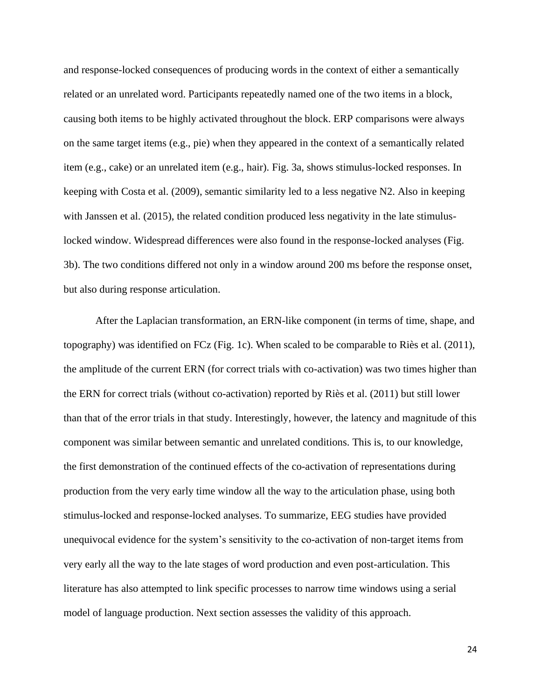and response-locked consequences of producing words in the context of either a semantically related or an unrelated word. Participants repeatedly named one of the two items in a block, causing both items to be highly activated throughout the block. ERP comparisons were always on the same target items (e.g., pie) when they appeared in the context of a semantically related item (e.g., cake) or an unrelated item (e.g., hair). Fig. 3a, shows stimulus-locked responses. In keeping with Costa et al. (2009), semantic similarity led to a less negative N2. Also in keeping with Janssen et al. (2015), the related condition produced less negativity in the late stimuluslocked window. Widespread differences were also found in the response-locked analyses (Fig. 3b). The two conditions differed not only in a window around 200 ms before the response onset, but also during response articulation.

After the Laplacian transformation, an ERN-like component (in terms of time, shape, and topography) was identified on FCz (Fig. 1c). When scaled to be comparable to Riès et al. (2011), the amplitude of the current ERN (for correct trials with co-activation) was two times higher than the ERN for correct trials (without co-activation) reported by Riès et al. (2011) but still lower than that of the error trials in that study. Interestingly, however, the latency and magnitude of this component was similar between semantic and unrelated conditions. This is, to our knowledge, the first demonstration of the continued effects of the co-activation of representations during production from the very early time window all the way to the articulation phase, using both stimulus-locked and response-locked analyses. To summarize, EEG studies have provided unequivocal evidence for the system's sensitivity to the co-activation of non-target items from very early all the way to the late stages of word production and even post-articulation. This literature has also attempted to link specific processes to narrow time windows using a serial model of language production. Next section assesses the validity of this approach.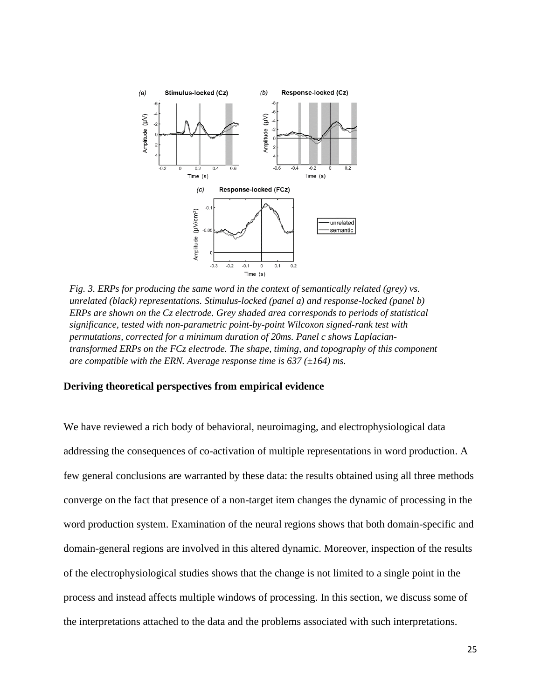

*Fig. 3. ERPs for producing the same word in the context of semantically related (grey) vs. unrelated (black) representations. Stimulus-locked (panel a) and response-locked (panel b) ERPs are shown on the Cz electrode. Grey shaded area corresponds to periods of statistical significance, tested with non-parametric point-by-point Wilcoxon signed-rank test with permutations, corrected for a minimum duration of 20ms. Panel c shows Laplaciantransformed ERPs on the FCz electrode. The shape, timing, and topography of this component are compatible with the ERN. Average response time is 637 (±164) ms.* 

#### **Deriving theoretical perspectives from empirical evidence**

We have reviewed a rich body of behavioral, neuroimaging, and electrophysiological data addressing the consequences of co-activation of multiple representations in word production. A few general conclusions are warranted by these data: the results obtained using all three methods converge on the fact that presence of a non-target item changes the dynamic of processing in the word production system. Examination of the neural regions shows that both domain-specific and domain-general regions are involved in this altered dynamic. Moreover, inspection of the results of the electrophysiological studies shows that the change is not limited to a single point in the process and instead affects multiple windows of processing. In this section, we discuss some of the interpretations attached to the data and the problems associated with such interpretations.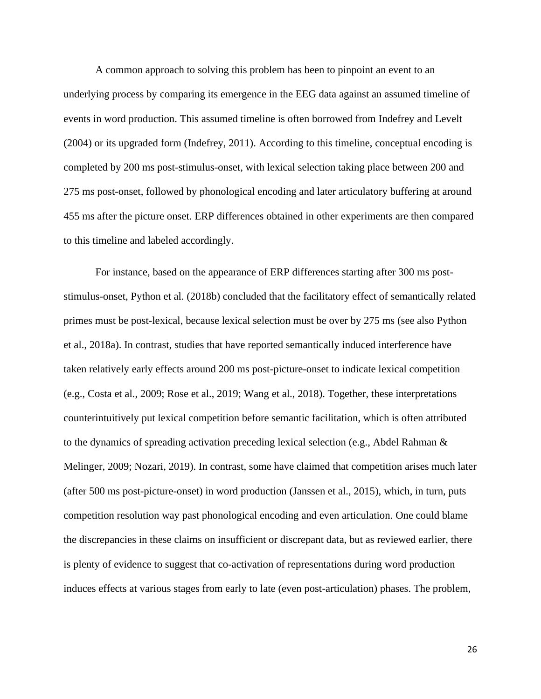A common approach to solving this problem has been to pinpoint an event to an underlying process by comparing its emergence in the EEG data against an assumed timeline of events in word production. This assumed timeline is often borrowed from Indefrey and Levelt (2004) or its upgraded form (Indefrey, 2011). According to this timeline, conceptual encoding is completed by 200 ms post-stimulus-onset, with lexical selection taking place between 200 and 275 ms post-onset, followed by phonological encoding and later articulatory buffering at around 455 ms after the picture onset. ERP differences obtained in other experiments are then compared to this timeline and labeled accordingly.

For instance, based on the appearance of ERP differences starting after 300 ms poststimulus-onset, Python et al. (2018b) concluded that the facilitatory effect of semantically related primes must be post-lexical, because lexical selection must be over by 275 ms (see also Python et al., 2018a). In contrast, studies that have reported semantically induced interference have taken relatively early effects around 200 ms post-picture-onset to indicate lexical competition (e.g., Costa et al., 2009; Rose et al., 2019; Wang et al., 2018). Together, these interpretations counterintuitively put lexical competition before semantic facilitation, which is often attributed to the dynamics of spreading activation preceding lexical selection (e.g., Abdel Rahman & Melinger, 2009; Nozari, 2019). In contrast, some have claimed that competition arises much later (after 500 ms post-picture-onset) in word production (Janssen et al., 2015), which, in turn, puts competition resolution way past phonological encoding and even articulation. One could blame the discrepancies in these claims on insufficient or discrepant data, but as reviewed earlier, there is plenty of evidence to suggest that co-activation of representations during word production induces effects at various stages from early to late (even post-articulation) phases. The problem,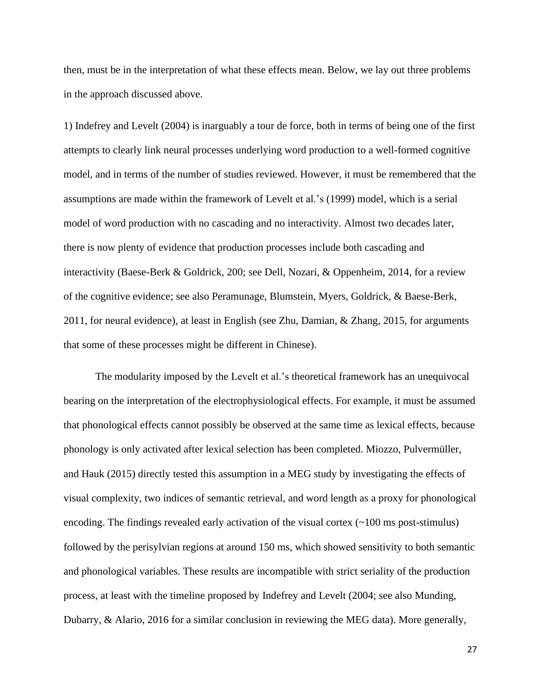then, must be in the interpretation of what these effects mean. Below, we lay out three problems in the approach discussed above.

1) Indefrey and Levelt (2004) is inarguably a tour de force, both in terms of being one of the first attempts to clearly link neural processes underlying word production to a well-formed cognitive model, and in terms of the number of studies reviewed. However, it must be remembered that the assumptions are made within the framework of Levelt et al.'s (1999) model, which is a serial model of word production with no cascading and no interactivity. Almost two decades later, there is now plenty of evidence that production processes include both cascading and interactivity (Baese-Berk & Goldrick, 200; see Dell, Nozari, & Oppenheim, 2014, for a review of the cognitive evidence; see also Peramunage, Blumstein, Myers, Goldrick, & Baese-Berk, 2011, for neural evidence), at least in English (see Zhu, Damian, & Zhang, 2015, for arguments that some of these processes might be different in Chinese).

The modularity imposed by the Levelt et al.'s theoretical framework has an unequivocal bearing on the interpretation of the electrophysiological effects. For example, it must be assumed that phonological effects cannot possibly be observed at the same time as lexical effects, because phonology is only activated after lexical selection has been completed. Miozzo, Pulvermüller, and Hauk (2015) directly tested this assumption in a MEG study by investigating the effects of visual complexity, two indices of semantic retrieval, and word length as a proxy for phonological encoding. The findings revealed early activation of the visual cortex (~100 ms post-stimulus) followed by the perisylvian regions at around 150 ms, which showed sensitivity to both semantic and phonological variables. These results are incompatible with strict seriality of the production process, at least with the timeline proposed by Indefrey and Levelt (2004; see also Munding, Dubarry, & Alario, 2016 for a similar conclusion in reviewing the MEG data). More generally,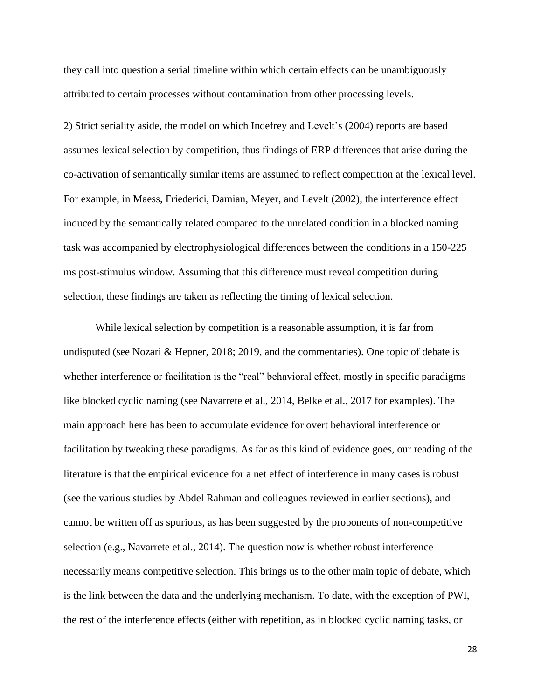they call into question a serial timeline within which certain effects can be unambiguously attributed to certain processes without contamination from other processing levels.

2) Strict seriality aside, the model on which Indefrey and Levelt's (2004) reports are based assumes lexical selection by competition, thus findings of ERP differences that arise during the co-activation of semantically similar items are assumed to reflect competition at the lexical level. For example, in Maess, Friederici, Damian, Meyer, and Levelt (2002), the interference effect induced by the semantically related compared to the unrelated condition in a blocked naming task was accompanied by electrophysiological differences between the conditions in a 150-225 ms post-stimulus window. Assuming that this difference must reveal competition during selection, these findings are taken as reflecting the timing of lexical selection.

While lexical selection by competition is a reasonable assumption, it is far from undisputed (see Nozari & Hepner, 2018; 2019, and the commentaries). One topic of debate is whether interference or facilitation is the "real" behavioral effect, mostly in specific paradigms like blocked cyclic naming (see Navarrete et al., 2014, Belke et al., 2017 for examples). The main approach here has been to accumulate evidence for overt behavioral interference or facilitation by tweaking these paradigms. As far as this kind of evidence goes, our reading of the literature is that the empirical evidence for a net effect of interference in many cases is robust (see the various studies by Abdel Rahman and colleagues reviewed in earlier sections), and cannot be written off as spurious, as has been suggested by the proponents of non-competitive selection (e.g., Navarrete et al., 2014). The question now is whether robust interference necessarily means competitive selection. This brings us to the other main topic of debate, which is the link between the data and the underlying mechanism. To date, with the exception of PWI, the rest of the interference effects (either with repetition, as in blocked cyclic naming tasks, or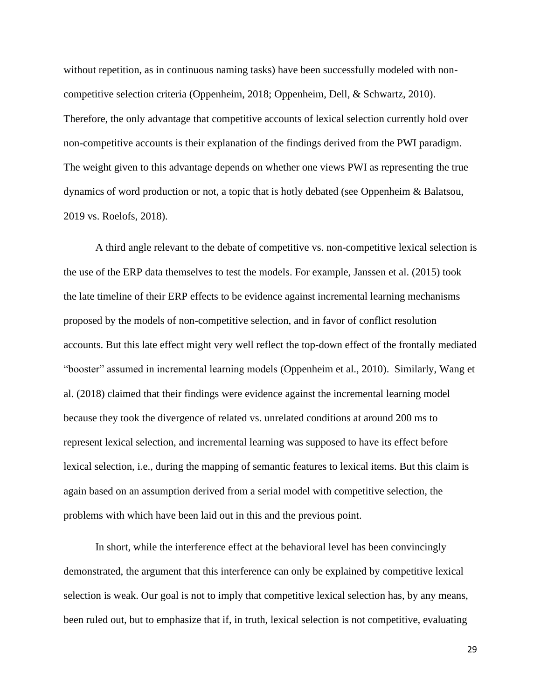without repetition, as in continuous naming tasks) have been successfully modeled with noncompetitive selection criteria (Oppenheim, 2018; Oppenheim, Dell, & Schwartz, 2010). Therefore, the only advantage that competitive accounts of lexical selection currently hold over non-competitive accounts is their explanation of the findings derived from the PWI paradigm. The weight given to this advantage depends on whether one views PWI as representing the true dynamics of word production or not, a topic that is hotly debated (see Oppenheim & Balatsou, 2019 vs. Roelofs, 2018).

A third angle relevant to the debate of competitive vs. non-competitive lexical selection is the use of the ERP data themselves to test the models. For example, Janssen et al. (2015) took the late timeline of their ERP effects to be evidence against incremental learning mechanisms proposed by the models of non-competitive selection, and in favor of conflict resolution accounts. But this late effect might very well reflect the top-down effect of the frontally mediated "booster" assumed in incremental learning models (Oppenheim et al., 2010). Similarly, Wang et al. (2018) claimed that their findings were evidence against the incremental learning model because they took the divergence of related vs. unrelated conditions at around 200 ms to represent lexical selection, and incremental learning was supposed to have its effect before lexical selection, i.e., during the mapping of semantic features to lexical items. But this claim is again based on an assumption derived from a serial model with competitive selection, the problems with which have been laid out in this and the previous point.

In short, while the interference effect at the behavioral level has been convincingly demonstrated, the argument that this interference can only be explained by competitive lexical selection is weak. Our goal is not to imply that competitive lexical selection has, by any means, been ruled out, but to emphasize that if, in truth, lexical selection is not competitive, evaluating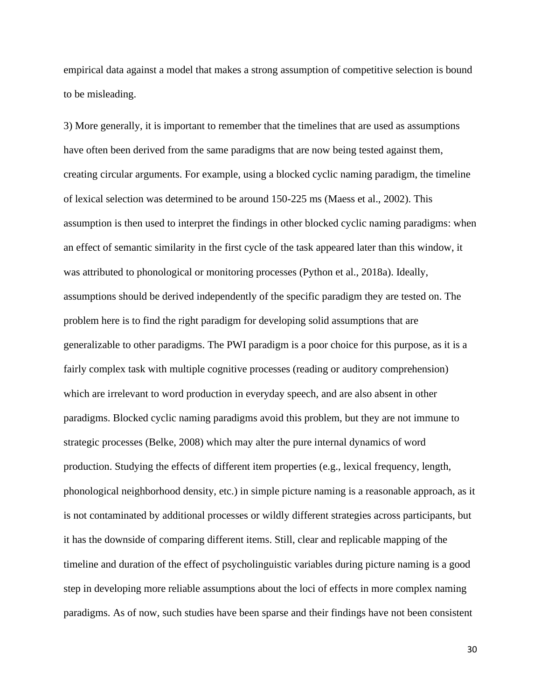empirical data against a model that makes a strong assumption of competitive selection is bound to be misleading.

3) More generally, it is important to remember that the timelines that are used as assumptions have often been derived from the same paradigms that are now being tested against them, creating circular arguments. For example, using a blocked cyclic naming paradigm, the timeline of lexical selection was determined to be around 150-225 ms (Maess et al., 2002). This assumption is then used to interpret the findings in other blocked cyclic naming paradigms: when an effect of semantic similarity in the first cycle of the task appeared later than this window, it was attributed to phonological or monitoring processes (Python et al., 2018a). Ideally, assumptions should be derived independently of the specific paradigm they are tested on. The problem here is to find the right paradigm for developing solid assumptions that are generalizable to other paradigms. The PWI paradigm is a poor choice for this purpose, as it is a fairly complex task with multiple cognitive processes (reading or auditory comprehension) which are irrelevant to word production in everyday speech, and are also absent in other paradigms. Blocked cyclic naming paradigms avoid this problem, but they are not immune to strategic processes (Belke, 2008) which may alter the pure internal dynamics of word production. Studying the effects of different item properties (e.g., lexical frequency, length, phonological neighborhood density, etc.) in simple picture naming is a reasonable approach, as it is not contaminated by additional processes or wildly different strategies across participants, but it has the downside of comparing different items. Still, clear and replicable mapping of the timeline and duration of the effect of psycholinguistic variables during picture naming is a good step in developing more reliable assumptions about the loci of effects in more complex naming paradigms. As of now, such studies have been sparse and their findings have not been consistent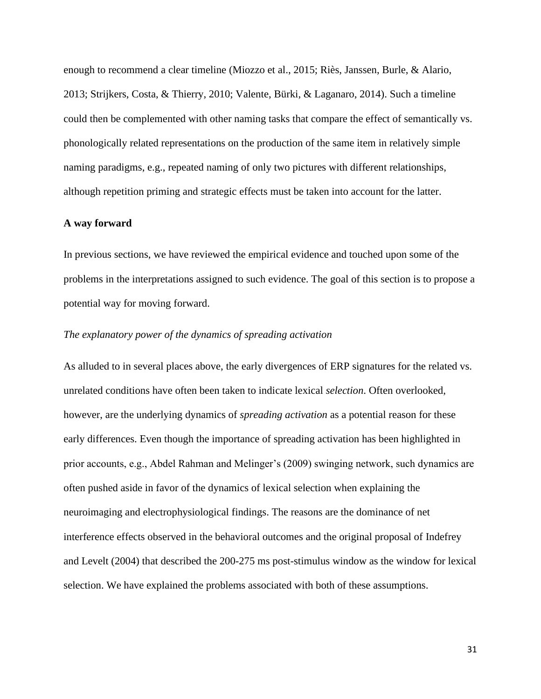enough to recommend a clear timeline (Miozzo et al., 2015; Riès, Janssen, Burle, & Alario, 2013; Strijkers, Costa, & Thierry, 2010; Valente, Bürki, & Laganaro, 2014). Such a timeline could then be complemented with other naming tasks that compare the effect of semantically vs. phonologically related representations on the production of the same item in relatively simple naming paradigms, e.g., repeated naming of only two pictures with different relationships, although repetition priming and strategic effects must be taken into account for the latter.

#### **A way forward**

In previous sections, we have reviewed the empirical evidence and touched upon some of the problems in the interpretations assigned to such evidence. The goal of this section is to propose a potential way for moving forward.

## *The explanatory power of the dynamics of spreading activation*

As alluded to in several places above, the early divergences of ERP signatures for the related vs. unrelated conditions have often been taken to indicate lexical *selection*. Often overlooked, however, are the underlying dynamics of *spreading activation* as a potential reason for these early differences. Even though the importance of spreading activation has been highlighted in prior accounts, e.g., Abdel Rahman and Melinger's (2009) swinging network, such dynamics are often pushed aside in favor of the dynamics of lexical selection when explaining the neuroimaging and electrophysiological findings. The reasons are the dominance of net interference effects observed in the behavioral outcomes and the original proposal of Indefrey and Levelt (2004) that described the 200-275 ms post-stimulus window as the window for lexical selection. We have explained the problems associated with both of these assumptions.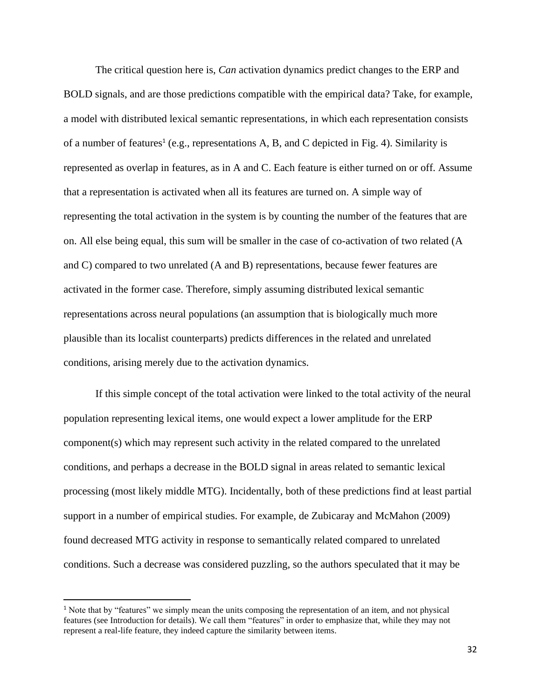The critical question here is, *Can* activation dynamics predict changes to the ERP and BOLD signals, and are those predictions compatible with the empirical data? Take, for example, a model with distributed lexical semantic representations, in which each representation consists of a number of features<sup>1</sup> (e.g., representations A, B, and C depicted in Fig. 4). Similarity is represented as overlap in features, as in A and C. Each feature is either turned on or off. Assume that a representation is activated when all its features are turned on. A simple way of representing the total activation in the system is by counting the number of the features that are on. All else being equal, this sum will be smaller in the case of co-activation of two related (A and C) compared to two unrelated (A and B) representations, because fewer features are activated in the former case. Therefore, simply assuming distributed lexical semantic representations across neural populations (an assumption that is biologically much more plausible than its localist counterparts) predicts differences in the related and unrelated conditions, arising merely due to the activation dynamics.

If this simple concept of the total activation were linked to the total activity of the neural population representing lexical items, one would expect a lower amplitude for the ERP component(s) which may represent such activity in the related compared to the unrelated conditions, and perhaps a decrease in the BOLD signal in areas related to semantic lexical processing (most likely middle MTG). Incidentally, both of these predictions find at least partial support in a number of empirical studies. For example, de Zubicaray and McMahon (2009) found decreased MTG activity in response to semantically related compared to unrelated conditions. Such a decrease was considered puzzling, so the authors speculated that it may be

<sup>&</sup>lt;sup>1</sup> Note that by "features" we simply mean the units composing the representation of an item, and not physical features (see Introduction for details). We call them "features" in order to emphasize that, while they may not represent a real-life feature, they indeed capture the similarity between items.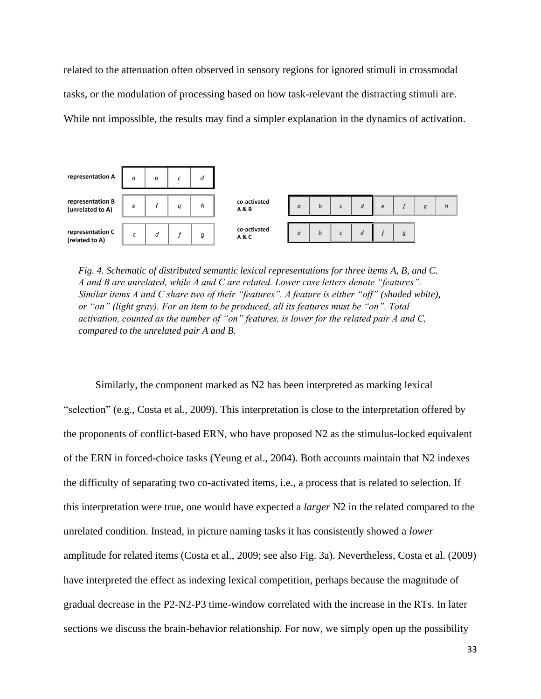related to the attenuation often observed in sensory regions for ignored stimuli in crossmodal tasks, or the modulation of processing based on how task-relevant the distracting stimuli are. While not impossible, the results may find a simpler explanation in the dynamics of activation.



*Fig. 4. Schematic of distributed semantic lexical representations for three items A, B, and C. A and B are unrelated, while A and C are related. Lower case letters denote "features". Similar items A and C share two of their "features". A feature is either "off" (shaded white), or "on" (light gray). For an item to be produced, all its features must be "on". Total activation, counted as the number of "on" features, is lower for the related pair A and C, compared to the unrelated pair A and B.* 

Similarly, the component marked as N2 has been interpreted as marking lexical "selection" (e.g., Costa et al., 2009). This interpretation is close to the interpretation offered by the proponents of conflict-based ERN, who have proposed N2 as the stimulus-locked equivalent of the ERN in forced-choice tasks (Yeung et al., 2004). Both accounts maintain that N2 indexes the difficulty of separating two co-activated items, i.e., a process that is related to selection. If this interpretation were true, one would have expected a *larger* N2 in the related compared to the unrelated condition. Instead, in picture naming tasks it has consistently showed a *lower* amplitude for related items (Costa et al., 2009; see also Fig. 3a). Nevertheless, Costa et al. (2009) have interpreted the effect as indexing lexical competition, perhaps because the magnitude of gradual decrease in the P2-N2-P3 time-window correlated with the increase in the RTs. In later sections we discuss the brain-behavior relationship. For now, we simply open up the possibility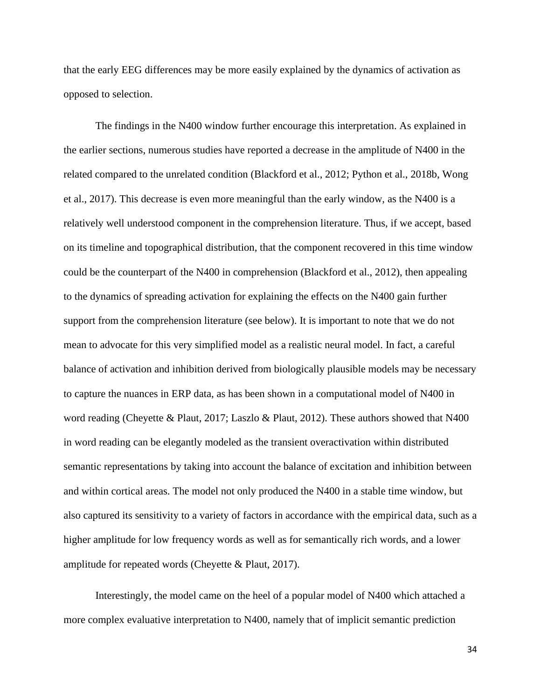that the early EEG differences may be more easily explained by the dynamics of activation as opposed to selection.

The findings in the N400 window further encourage this interpretation. As explained in the earlier sections, numerous studies have reported a decrease in the amplitude of N400 in the related compared to the unrelated condition (Blackford et al., 2012; Python et al., 2018b, Wong et al., 2017). This decrease is even more meaningful than the early window, as the N400 is a relatively well understood component in the comprehension literature. Thus, if we accept, based on its timeline and topographical distribution, that the component recovered in this time window could be the counterpart of the N400 in comprehension (Blackford et al., 2012), then appealing to the dynamics of spreading activation for explaining the effects on the N400 gain further support from the comprehension literature (see below). It is important to note that we do not mean to advocate for this very simplified model as a realistic neural model. In fact, a careful balance of activation and inhibition derived from biologically plausible models may be necessary to capture the nuances in ERP data, as has been shown in a computational model of N400 in word reading (Cheyette & Plaut, 2017; Laszlo & Plaut, 2012). These authors showed that N400 in word reading can be elegantly modeled as the transient overactivation within distributed semantic representations by taking into account the balance of excitation and inhibition between and within cortical areas. The model not only produced the N400 in a stable time window, but also captured its sensitivity to a variety of factors in accordance with the empirical data, such as a higher amplitude for low frequency words as well as for semantically rich words, and a lower amplitude for repeated words (Cheyette & Plaut, 2017).

Interestingly, the model came on the heel of a popular model of N400 which attached a more complex evaluative interpretation to N400, namely that of implicit semantic prediction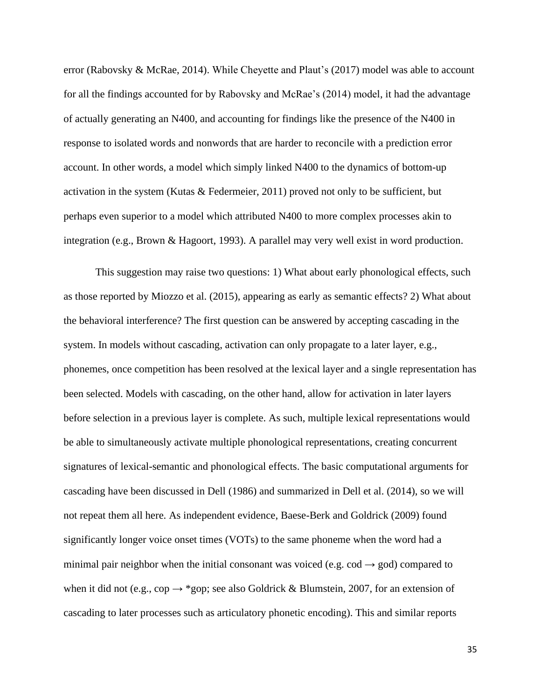error (Rabovsky & McRae, 2014). While Cheyette and Plaut's (2017) model was able to account for all the findings accounted for by Rabovsky and McRae's (2014) model, it had the advantage of actually generating an N400, and accounting for findings like the presence of the N400 in response to isolated words and nonwords that are harder to reconcile with a prediction error account. In other words, a model which simply linked N400 to the dynamics of bottom-up activation in the system (Kutas & Federmeier, 2011) proved not only to be sufficient, but perhaps even superior to a model which attributed N400 to more complex processes akin to integration (e.g., Brown & Hagoort, 1993). A parallel may very well exist in word production.

This suggestion may raise two questions: 1) What about early phonological effects, such as those reported by Miozzo et al. (2015), appearing as early as semantic effects? 2) What about the behavioral interference? The first question can be answered by accepting cascading in the system. In models without cascading, activation can only propagate to a later layer, e.g., phonemes, once competition has been resolved at the lexical layer and a single representation has been selected. Models with cascading, on the other hand, allow for activation in later layers before selection in a previous layer is complete. As such, multiple lexical representations would be able to simultaneously activate multiple phonological representations, creating concurrent signatures of lexical-semantic and phonological effects. The basic computational arguments for cascading have been discussed in Dell (1986) and summarized in Dell et al. (2014), so we will not repeat them all here. As independent evidence, Baese-Berk and Goldrick (2009) found significantly longer voice onset times (VOTs) to the same phoneme when the word had a minimal pair neighbor when the initial consonant was voiced (e.g. cod  $\rightarrow$  god) compared to when it did not (e.g., cop  $\rightarrow$  \*gop; see also Goldrick & Blumstein, 2007, for an extension of cascading to later processes such as articulatory phonetic encoding). This and similar reports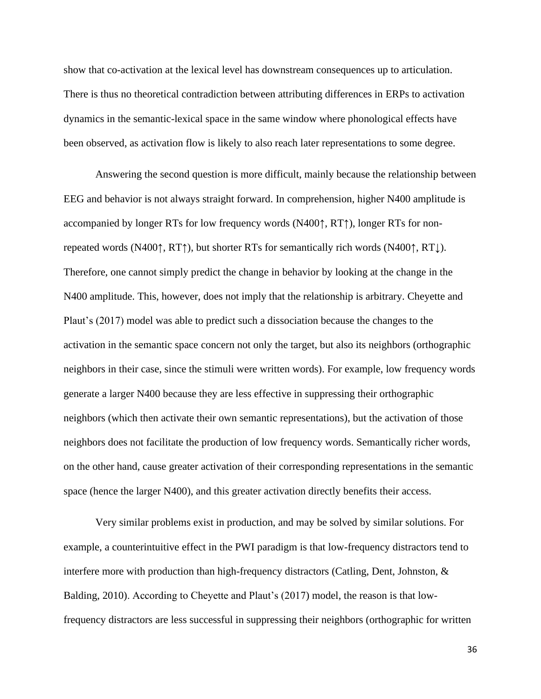show that co-activation at the lexical level has downstream consequences up to articulation. There is thus no theoretical contradiction between attributing differences in ERPs to activation dynamics in the semantic-lexical space in the same window where phonological effects have been observed, as activation flow is likely to also reach later representations to some degree.

Answering the second question is more difficult, mainly because the relationship between EEG and behavior is not always straight forward. In comprehension, higher N400 amplitude is accompanied by longer RTs for low frequency words (N400↑, RT↑), longer RTs for nonrepeated words (N400↑, RT↑), but shorter RTs for semantically rich words (N400↑, RT↓). Therefore, one cannot simply predict the change in behavior by looking at the change in the N400 amplitude. This, however, does not imply that the relationship is arbitrary. Cheyette and Plaut's (2017) model was able to predict such a dissociation because the changes to the activation in the semantic space concern not only the target, but also its neighbors (orthographic neighbors in their case, since the stimuli were written words). For example, low frequency words generate a larger N400 because they are less effective in suppressing their orthographic neighbors (which then activate their own semantic representations), but the activation of those neighbors does not facilitate the production of low frequency words. Semantically richer words, on the other hand, cause greater activation of their corresponding representations in the semantic space (hence the larger N400), and this greater activation directly benefits their access.

Very similar problems exist in production, and may be solved by similar solutions. For example, a counterintuitive effect in the PWI paradigm is that low-frequency distractors tend to interfere more with production than high-frequency distractors (Catling, Dent, Johnston, & Balding, 2010). According to Cheyette and Plaut's (2017) model, the reason is that lowfrequency distractors are less successful in suppressing their neighbors (orthographic for written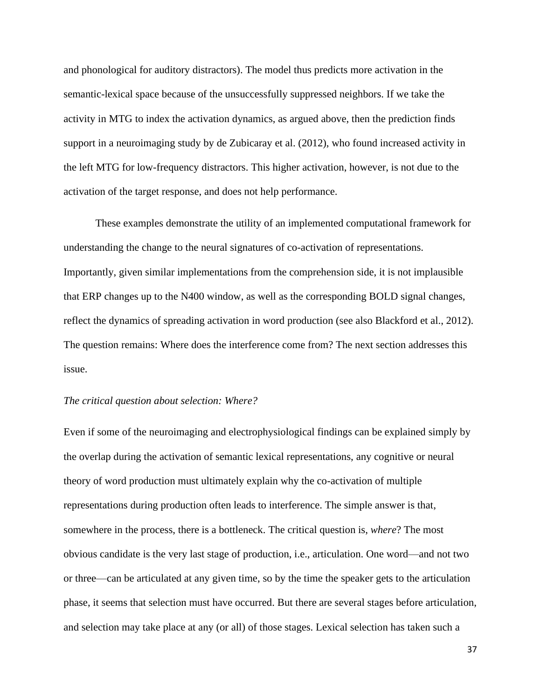and phonological for auditory distractors). The model thus predicts more activation in the semantic-lexical space because of the unsuccessfully suppressed neighbors. If we take the activity in MTG to index the activation dynamics, as argued above, then the prediction finds support in a neuroimaging study by de Zubicaray et al. (2012), who found increased activity in the left MTG for low-frequency distractors. This higher activation, however, is not due to the activation of the target response, and does not help performance.

These examples demonstrate the utility of an implemented computational framework for understanding the change to the neural signatures of co-activation of representations. Importantly, given similar implementations from the comprehension side, it is not implausible that ERP changes up to the N400 window, as well as the corresponding BOLD signal changes, reflect the dynamics of spreading activation in word production (see also Blackford et al., 2012). The question remains: Where does the interference come from? The next section addresses this issue.

## *The critical question about selection: Where?*

Even if some of the neuroimaging and electrophysiological findings can be explained simply by the overlap during the activation of semantic lexical representations, any cognitive or neural theory of word production must ultimately explain why the co-activation of multiple representations during production often leads to interference. The simple answer is that, somewhere in the process, there is a bottleneck. The critical question is, *where*? The most obvious candidate is the very last stage of production, i.e., articulation. One word—and not two or three—can be articulated at any given time, so by the time the speaker gets to the articulation phase, it seems that selection must have occurred. But there are several stages before articulation, and selection may take place at any (or all) of those stages. Lexical selection has taken such a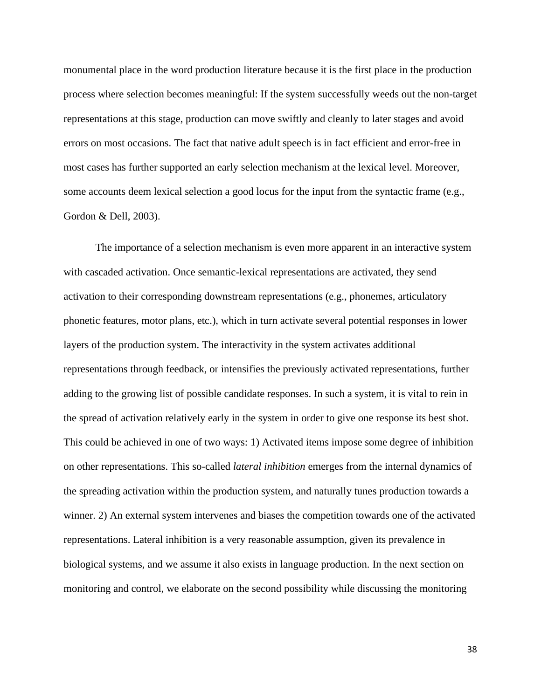monumental place in the word production literature because it is the first place in the production process where selection becomes meaningful: If the system successfully weeds out the non-target representations at this stage, production can move swiftly and cleanly to later stages and avoid errors on most occasions. The fact that native adult speech is in fact efficient and error-free in most cases has further supported an early selection mechanism at the lexical level. Moreover, some accounts deem lexical selection a good locus for the input from the syntactic frame (e.g., Gordon & Dell, 2003).

The importance of a selection mechanism is even more apparent in an interactive system with cascaded activation. Once semantic-lexical representations are activated, they send activation to their corresponding downstream representations (e.g., phonemes, articulatory phonetic features, motor plans, etc.), which in turn activate several potential responses in lower layers of the production system. The interactivity in the system activates additional representations through feedback, or intensifies the previously activated representations, further adding to the growing list of possible candidate responses. In such a system, it is vital to rein in the spread of activation relatively early in the system in order to give one response its best shot. This could be achieved in one of two ways: 1) Activated items impose some degree of inhibition on other representations. This so-called *lateral inhibition* emerges from the internal dynamics of the spreading activation within the production system, and naturally tunes production towards a winner. 2) An external system intervenes and biases the competition towards one of the activated representations. Lateral inhibition is a very reasonable assumption, given its prevalence in biological systems, and we assume it also exists in language production. In the next section on monitoring and control, we elaborate on the second possibility while discussing the monitoring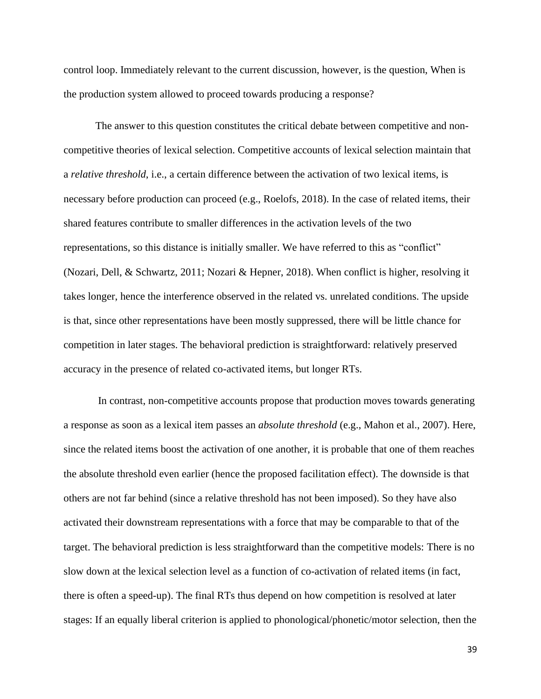control loop. Immediately relevant to the current discussion, however, is the question, When is the production system allowed to proceed towards producing a response?

The answer to this question constitutes the critical debate between competitive and noncompetitive theories of lexical selection. Competitive accounts of lexical selection maintain that a *relative threshold*, i.e., a certain difference between the activation of two lexical items, is necessary before production can proceed (e.g., Roelofs, 2018). In the case of related items, their shared features contribute to smaller differences in the activation levels of the two representations, so this distance is initially smaller. We have referred to this as "conflict" (Nozari, Dell, & Schwartz, 2011; Nozari & Hepner, 2018). When conflict is higher, resolving it takes longer, hence the interference observed in the related vs. unrelated conditions. The upside is that, since other representations have been mostly suppressed, there will be little chance for competition in later stages. The behavioral prediction is straightforward: relatively preserved accuracy in the presence of related co-activated items, but longer RTs.

In contrast, non-competitive accounts propose that production moves towards generating a response as soon as a lexical item passes an *absolute threshold* (e.g., Mahon et al., 2007). Here, since the related items boost the activation of one another, it is probable that one of them reaches the absolute threshold even earlier (hence the proposed facilitation effect). The downside is that others are not far behind (since a relative threshold has not been imposed). So they have also activated their downstream representations with a force that may be comparable to that of the target. The behavioral prediction is less straightforward than the competitive models: There is no slow down at the lexical selection level as a function of co-activation of related items (in fact, there is often a speed-up). The final RTs thus depend on how competition is resolved at later stages: If an equally liberal criterion is applied to phonological/phonetic/motor selection, then the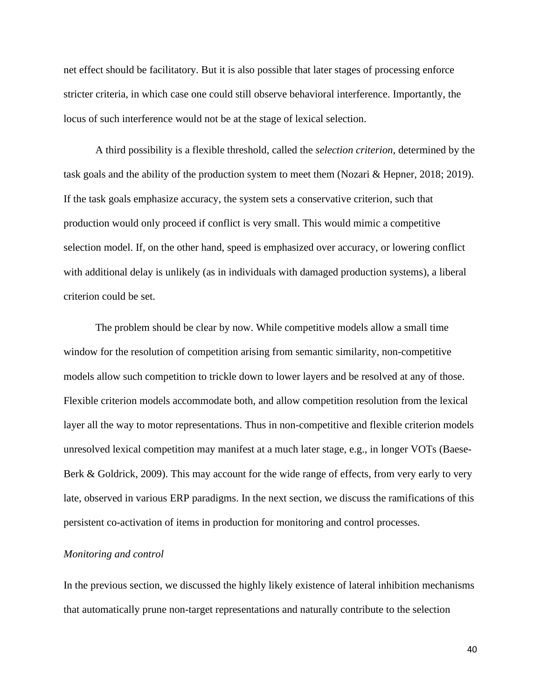net effect should be facilitatory. But it is also possible that later stages of processing enforce stricter criteria, in which case one could still observe behavioral interference. Importantly, the locus of such interference would not be at the stage of lexical selection.

A third possibility is a flexible threshold, called the *selection criterion*, determined by the task goals and the ability of the production system to meet them (Nozari & Hepner, 2018; 2019). If the task goals emphasize accuracy, the system sets a conservative criterion, such that production would only proceed if conflict is very small. This would mimic a competitive selection model. If, on the other hand, speed is emphasized over accuracy, or lowering conflict with additional delay is unlikely (as in individuals with damaged production systems), a liberal criterion could be set.

The problem should be clear by now. While competitive models allow a small time window for the resolution of competition arising from semantic similarity, non-competitive models allow such competition to trickle down to lower layers and be resolved at any of those. Flexible criterion models accommodate both, and allow competition resolution from the lexical layer all the way to motor representations. Thus in non-competitive and flexible criterion models unresolved lexical competition may manifest at a much later stage, e.g., in longer VOTs (Baese-Berk & Goldrick, 2009). This may account for the wide range of effects, from very early to very late, observed in various ERP paradigms. In the next section, we discuss the ramifications of this persistent co-activation of items in production for monitoring and control processes.

#### *Monitoring and control*

In the previous section, we discussed the highly likely existence of lateral inhibition mechanisms that automatically prune non-target representations and naturally contribute to the selection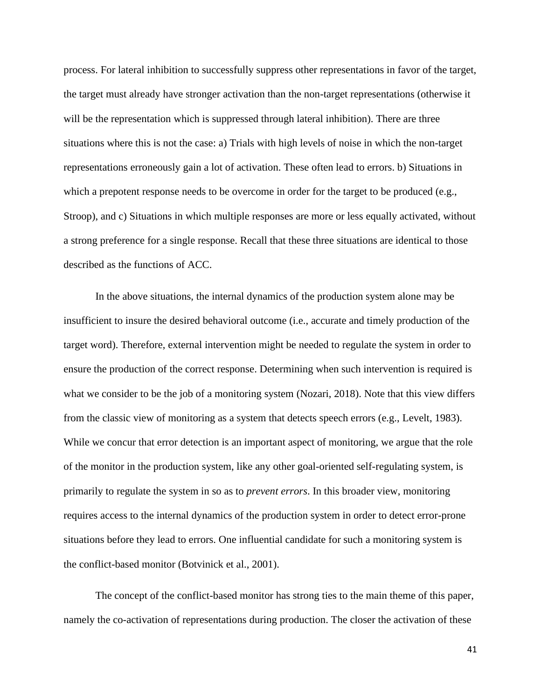process. For lateral inhibition to successfully suppress other representations in favor of the target, the target must already have stronger activation than the non-target representations (otherwise it will be the representation which is suppressed through lateral inhibition). There are three situations where this is not the case: a) Trials with high levels of noise in which the non-target representations erroneously gain a lot of activation. These often lead to errors. b) Situations in which a prepotent response needs to be overcome in order for the target to be produced (e.g., Stroop), and c) Situations in which multiple responses are more or less equally activated, without a strong preference for a single response. Recall that these three situations are identical to those described as the functions of ACC.

In the above situations, the internal dynamics of the production system alone may be insufficient to insure the desired behavioral outcome (i.e., accurate and timely production of the target word). Therefore, external intervention might be needed to regulate the system in order to ensure the production of the correct response. Determining when such intervention is required is what we consider to be the job of a monitoring system (Nozari, 2018). Note that this view differs from the classic view of monitoring as a system that detects speech errors (e.g., Levelt, 1983). While we concur that error detection is an important aspect of monitoring, we argue that the role of the monitor in the production system, like any other goal-oriented self-regulating system, is primarily to regulate the system in so as to *prevent errors*. In this broader view, monitoring requires access to the internal dynamics of the production system in order to detect error-prone situations before they lead to errors. One influential candidate for such a monitoring system is the conflict-based monitor (Botvinick et al., 2001).

The concept of the conflict-based monitor has strong ties to the main theme of this paper, namely the co-activation of representations during production. The closer the activation of these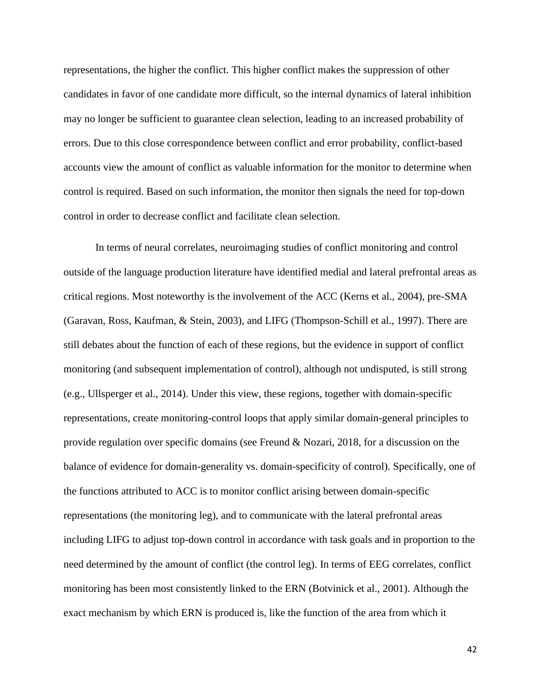representations, the higher the conflict. This higher conflict makes the suppression of other candidates in favor of one candidate more difficult, so the internal dynamics of lateral inhibition may no longer be sufficient to guarantee clean selection, leading to an increased probability of errors. Due to this close correspondence between conflict and error probability, conflict-based accounts view the amount of conflict as valuable information for the monitor to determine when control is required. Based on such information, the monitor then signals the need for top-down control in order to decrease conflict and facilitate clean selection.

In terms of neural correlates, neuroimaging studies of conflict monitoring and control outside of the language production literature have identified medial and lateral prefrontal areas as critical regions. Most noteworthy is the involvement of the ACC (Kerns et al., 2004), pre-SMA (Garavan, Ross, Kaufman, & Stein, 2003), and LIFG (Thompson-Schill et al., 1997). There are still debates about the function of each of these regions, but the evidence in support of conflict monitoring (and subsequent implementation of control), although not undisputed, is still strong (e.g., Ullsperger et al., 2014). Under this view, these regions, together with domain-specific representations, create monitoring-control loops that apply similar domain-general principles to provide regulation over specific domains (see Freund & Nozari, 2018, for a discussion on the balance of evidence for domain-generality vs. domain-specificity of control). Specifically, one of the functions attributed to ACC is to monitor conflict arising between domain-specific representations (the monitoring leg), and to communicate with the lateral prefrontal areas including LIFG to adjust top-down control in accordance with task goals and in proportion to the need determined by the amount of conflict (the control leg). In terms of EEG correlates, conflict monitoring has been most consistently linked to the ERN (Botvinick et al., 2001). Although the exact mechanism by which ERN is produced is, like the function of the area from which it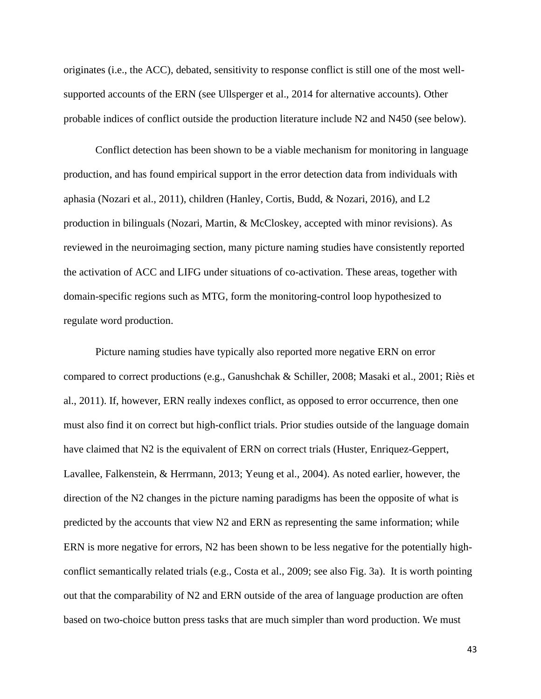originates (i.e., the ACC), debated, sensitivity to response conflict is still one of the most wellsupported accounts of the ERN (see Ullsperger et al., 2014 for alternative accounts). Other probable indices of conflict outside the production literature include N2 and N450 (see below).

Conflict detection has been shown to be a viable mechanism for monitoring in language production, and has found empirical support in the error detection data from individuals with aphasia (Nozari et al., 2011), children (Hanley, Cortis, Budd, & Nozari, 2016), and L2 production in bilinguals (Nozari, Martin, & McCloskey, accepted with minor revisions). As reviewed in the neuroimaging section, many picture naming studies have consistently reported the activation of ACC and LIFG under situations of co-activation. These areas, together with domain-specific regions such as MTG, form the monitoring-control loop hypothesized to regulate word production.

Picture naming studies have typically also reported more negative ERN on error compared to correct productions (e.g., Ganushchak & Schiller, 2008; Masaki et al., 2001; Riès et al., 2011). If, however, ERN really indexes conflict, as opposed to error occurrence, then one must also find it on correct but high-conflict trials. Prior studies outside of the language domain have claimed that N2 is the equivalent of ERN on correct trials (Huster, Enriquez-Geppert, Lavallee, Falkenstein, & Herrmann, 2013; Yeung et al., 2004). As noted earlier, however, the direction of the N2 changes in the picture naming paradigms has been the opposite of what is predicted by the accounts that view N2 and ERN as representing the same information; while ERN is more negative for errors, N2 has been shown to be less negative for the potentially highconflict semantically related trials (e.g., Costa et al., 2009; see also Fig. 3a). It is worth pointing out that the comparability of N2 and ERN outside of the area of language production are often based on two-choice button press tasks that are much simpler than word production. We must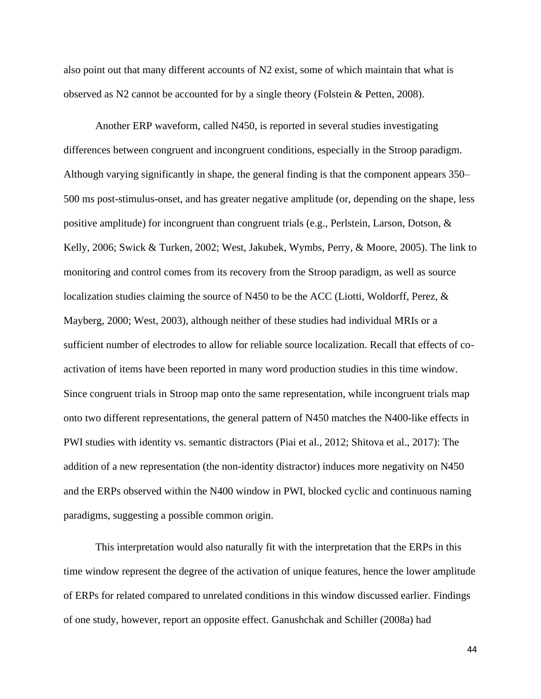also point out that many different accounts of N2 exist, some of which maintain that what is observed as N2 cannot be accounted for by a single theory (Folstein & Petten, 2008).

Another ERP waveform, called N450, is reported in several studies investigating differences between congruent and incongruent conditions, especially in the Stroop paradigm. Although varying significantly in shape, the general finding is that the component appears 350– 500 ms post-stimulus-onset, and has greater negative amplitude (or, depending on the shape, less positive amplitude) for incongruent than congruent trials (e.g., Perlstein, Larson, Dotson, & Kelly, 2006; Swick & Turken, 2002; West, Jakubek, Wymbs, Perry, & Moore, 2005). The link to monitoring and control comes from its recovery from the Stroop paradigm, as well as source localization studies claiming the source of N450 to be the ACC (Liotti, Woldorff, Perez, & Mayberg, 2000; West, 2003), although neither of these studies had individual MRIs or a sufficient number of electrodes to allow for reliable source localization. Recall that effects of coactivation of items have been reported in many word production studies in this time window. Since congruent trials in Stroop map onto the same representation, while incongruent trials map onto two different representations, the general pattern of N450 matches the N400-like effects in PWI studies with identity vs. semantic distractors (Piai et al., 2012; Shitova et al., 2017): The addition of a new representation (the non-identity distractor) induces more negativity on N450 and the ERPs observed within the N400 window in PWI, blocked cyclic and continuous naming paradigms, suggesting a possible common origin.

This interpretation would also naturally fit with the interpretation that the ERPs in this time window represent the degree of the activation of unique features, hence the lower amplitude of ERPs for related compared to unrelated conditions in this window discussed earlier. Findings of one study, however, report an opposite effect. Ganushchak and Schiller (2008a) had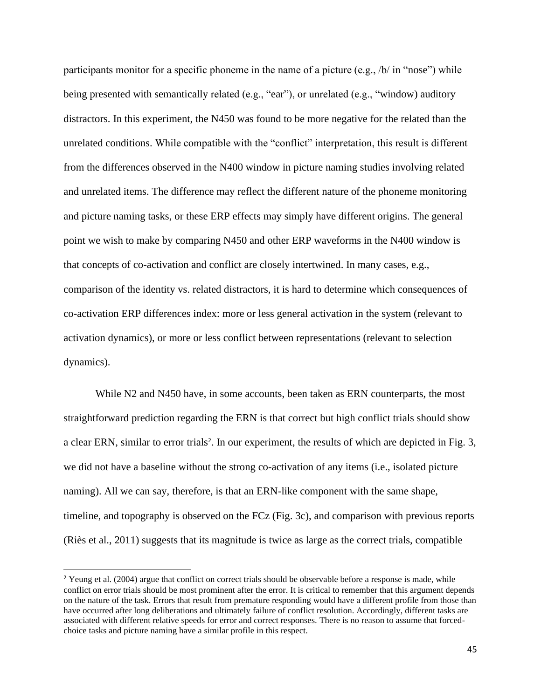participants monitor for a specific phoneme in the name of a picture (e.g., /b/ in "nose") while being presented with semantically related (e.g., "ear"), or unrelated (e.g., "window) auditory distractors. In this experiment, the N450 was found to be more negative for the related than the unrelated conditions. While compatible with the "conflict" interpretation, this result is different from the differences observed in the N400 window in picture naming studies involving related and unrelated items. The difference may reflect the different nature of the phoneme monitoring and picture naming tasks, or these ERP effects may simply have different origins. The general point we wish to make by comparing N450 and other ERP waveforms in the N400 window is that concepts of co-activation and conflict are closely intertwined. In many cases, e.g., comparison of the identity vs. related distractors, it is hard to determine which consequences of co-activation ERP differences index: more or less general activation in the system (relevant to activation dynamics), or more or less conflict between representations (relevant to selection dynamics).

While N2 and N450 have, in some accounts, been taken as ERN counterparts, the most straightforward prediction regarding the ERN is that correct but high conflict trials should show a clear ERN, similar to error trials<sup>2</sup>. In our experiment, the results of which are depicted in Fig. 3, we did not have a baseline without the strong co-activation of any items (i.e., isolated picture naming). All we can say, therefore, is that an ERN-like component with the same shape, timeline, and topography is observed on the FCz (Fig. 3c), and comparison with previous reports (Riès et al., 2011) suggests that its magnitude is twice as large as the correct trials, compatible

<sup>&</sup>lt;sup>2</sup> Yeung et al. (2004) argue that conflict on correct trials should be observable before a response is made, while conflict on error trials should be most prominent after the error. It is critical to remember that this argument depends on the nature of the task. Errors that result from premature responding would have a different profile from those than have occurred after long deliberations and ultimately failure of conflict resolution. Accordingly, different tasks are associated with different relative speeds for error and correct responses. There is no reason to assume that forcedchoice tasks and picture naming have a similar profile in this respect.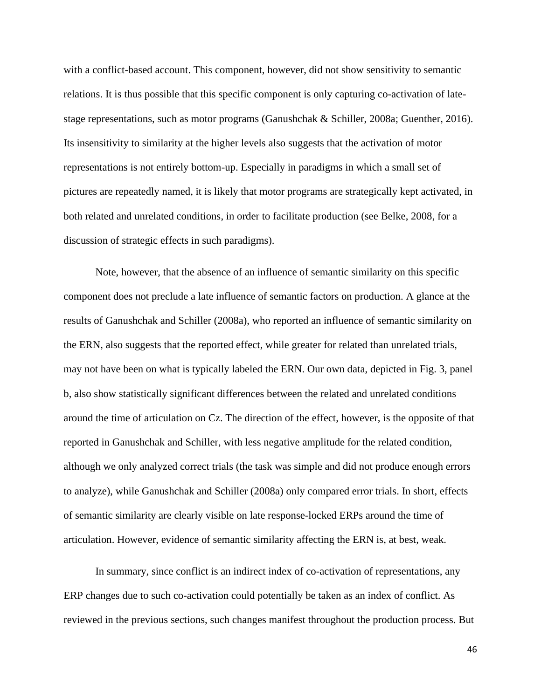with a conflict-based account. This component, however, did not show sensitivity to semantic relations. It is thus possible that this specific component is only capturing co-activation of latestage representations, such as motor programs (Ganushchak & Schiller, 2008a; Guenther, 2016). Its insensitivity to similarity at the higher levels also suggests that the activation of motor representations is not entirely bottom-up. Especially in paradigms in which a small set of pictures are repeatedly named, it is likely that motor programs are strategically kept activated, in both related and unrelated conditions, in order to facilitate production (see Belke, 2008, for a discussion of strategic effects in such paradigms).

Note, however, that the absence of an influence of semantic similarity on this specific component does not preclude a late influence of semantic factors on production. A glance at the results of Ganushchak and Schiller (2008a), who reported an influence of semantic similarity on the ERN, also suggests that the reported effect, while greater for related than unrelated trials, may not have been on what is typically labeled the ERN. Our own data, depicted in Fig. 3, panel b, also show statistically significant differences between the related and unrelated conditions around the time of articulation on Cz. The direction of the effect, however, is the opposite of that reported in Ganushchak and Schiller, with less negative amplitude for the related condition, although we only analyzed correct trials (the task was simple and did not produce enough errors to analyze), while Ganushchak and Schiller (2008a) only compared error trials. In short, effects of semantic similarity are clearly visible on late response-locked ERPs around the time of articulation. However, evidence of semantic similarity affecting the ERN is, at best, weak.

In summary, since conflict is an indirect index of co-activation of representations, any ERP changes due to such co-activation could potentially be taken as an index of conflict. As reviewed in the previous sections, such changes manifest throughout the production process. But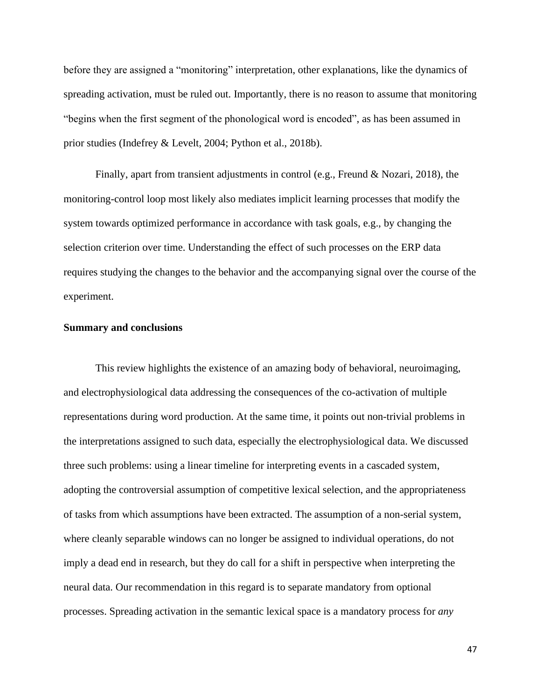before they are assigned a "monitoring" interpretation, other explanations, like the dynamics of spreading activation, must be ruled out. Importantly, there is no reason to assume that monitoring "begins when the first segment of the phonological word is encoded", as has been assumed in prior studies (Indefrey & Levelt, 2004; Python et al., 2018b).

Finally, apart from transient adjustments in control (e.g., Freund & Nozari, 2018), the monitoring-control loop most likely also mediates implicit learning processes that modify the system towards optimized performance in accordance with task goals, e.g., by changing the selection criterion over time. Understanding the effect of such processes on the ERP data requires studying the changes to the behavior and the accompanying signal over the course of the experiment.

## **Summary and conclusions**

This review highlights the existence of an amazing body of behavioral, neuroimaging, and electrophysiological data addressing the consequences of the co-activation of multiple representations during word production. At the same time, it points out non-trivial problems in the interpretations assigned to such data, especially the electrophysiological data. We discussed three such problems: using a linear timeline for interpreting events in a cascaded system, adopting the controversial assumption of competitive lexical selection, and the appropriateness of tasks from which assumptions have been extracted. The assumption of a non-serial system, where cleanly separable windows can no longer be assigned to individual operations, do not imply a dead end in research, but they do call for a shift in perspective when interpreting the neural data. Our recommendation in this regard is to separate mandatory from optional processes. Spreading activation in the semantic lexical space is a mandatory process for *any*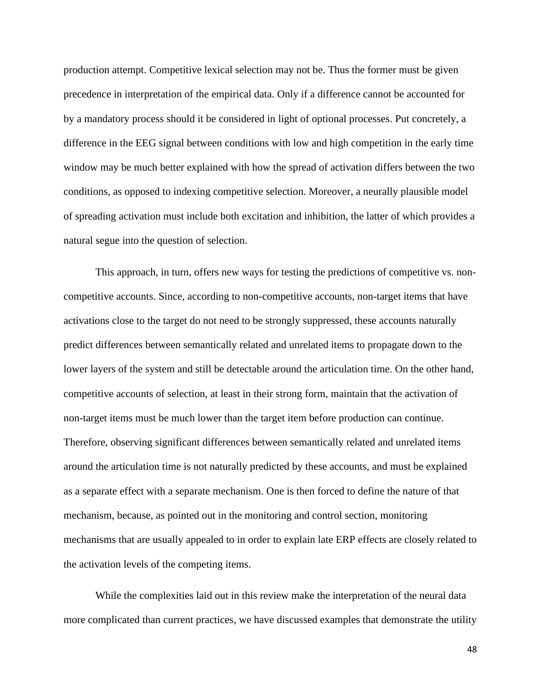production attempt. Competitive lexical selection may not be. Thus the former must be given precedence in interpretation of the empirical data. Only if a difference cannot be accounted for by a mandatory process should it be considered in light of optional processes. Put concretely, a difference in the EEG signal between conditions with low and high competition in the early time window may be much better explained with how the spread of activation differs between the two conditions, as opposed to indexing competitive selection. Moreover, a neurally plausible model of spreading activation must include both excitation and inhibition, the latter of which provides a natural segue into the question of selection.

This approach, in turn, offers new ways for testing the predictions of competitive vs. noncompetitive accounts. Since, according to non-competitive accounts, non-target items that have activations close to the target do not need to be strongly suppressed, these accounts naturally predict differences between semantically related and unrelated items to propagate down to the lower layers of the system and still be detectable around the articulation time. On the other hand, competitive accounts of selection, at least in their strong form, maintain that the activation of non-target items must be much lower than the target item before production can continue. Therefore, observing significant differences between semantically related and unrelated items around the articulation time is not naturally predicted by these accounts, and must be explained as a separate effect with a separate mechanism. One is then forced to define the nature of that mechanism, because, as pointed out in the monitoring and control section, monitoring mechanisms that are usually appealed to in order to explain late ERP effects are closely related to the activation levels of the competing items.

While the complexities laid out in this review make the interpretation of the neural data more complicated than current practices, we have discussed examples that demonstrate the utility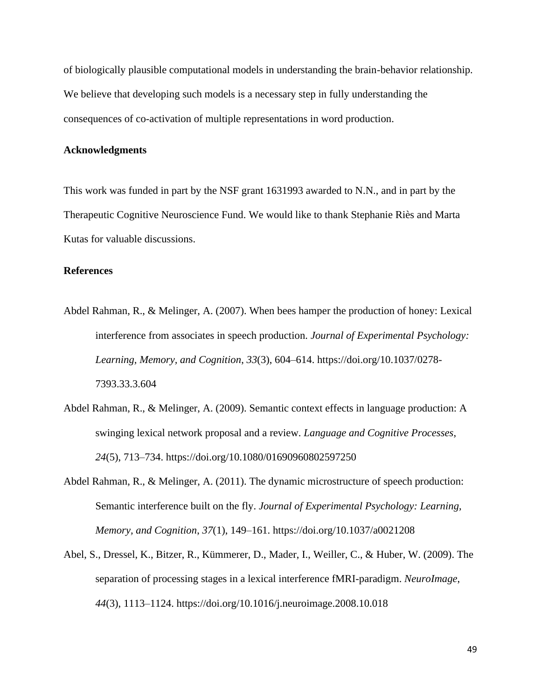of biologically plausible computational models in understanding the brain-behavior relationship. We believe that developing such models is a necessary step in fully understanding the consequences of co-activation of multiple representations in word production.

#### **Acknowledgments**

This work was funded in part by the NSF grant 1631993 awarded to N.N., and in part by the Therapeutic Cognitive Neuroscience Fund. We would like to thank Stephanie Riès and Marta Kutas for valuable discussions.

## **References**

- Abdel Rahman, R., & Melinger, A. (2007). When bees hamper the production of honey: Lexical interference from associates in speech production. *Journal of Experimental Psychology: Learning, Memory, and Cognition*, *33*(3), 604–614. https://doi.org/10.1037/0278- 7393.33.3.604
- Abdel Rahman, R., & Melinger, A. (2009). Semantic context effects in language production: A swinging lexical network proposal and a review. *Language and Cognitive Processes*, *24*(5), 713–734. https://doi.org/10.1080/01690960802597250
- Abdel Rahman, R., & Melinger, A. (2011). The dynamic microstructure of speech production: Semantic interference built on the fly. *Journal of Experimental Psychology: Learning, Memory, and Cognition*, *37*(1), 149–161. https://doi.org/10.1037/a0021208
- Abel, S., Dressel, K., Bitzer, R., Kümmerer, D., Mader, I., Weiller, C., & Huber, W. (2009). The separation of processing stages in a lexical interference fMRI-paradigm. *NeuroImage*, *44*(3), 1113–1124. https://doi.org/10.1016/j.neuroimage.2008.10.018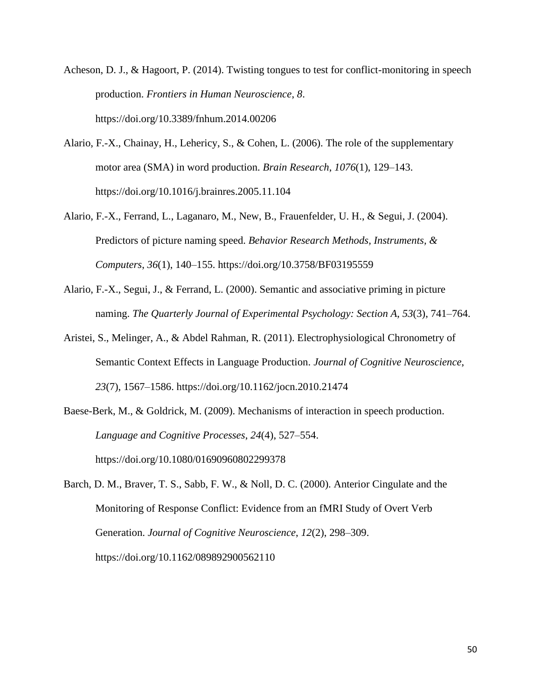- Acheson, D. J., & Hagoort, P. (2014). Twisting tongues to test for conflict-monitoring in speech production. *Frontiers in Human Neuroscience*, *8*. https://doi.org/10.3389/fnhum.2014.00206
- Alario, F.-X., Chainay, H., Lehericy, S., & Cohen, L. (2006). The role of the supplementary motor area (SMA) in word production. *Brain Research*, *1076*(1), 129–143. https://doi.org/10.1016/j.brainres.2005.11.104
- Alario, F.-X., Ferrand, L., Laganaro, M., New, B., Frauenfelder, U. H., & Segui, J. (2004). Predictors of picture naming speed. *Behavior Research Methods, Instruments, & Computers*, *36*(1), 140–155. https://doi.org/10.3758/BF03195559
- Alario, F.-X., Segui, J., & Ferrand, L. (2000). Semantic and associative priming in picture naming. *The Quarterly Journal of Experimental Psychology: Section A*, *53*(3), 741–764.
- Aristei, S., Melinger, A., & Abdel Rahman, R. (2011). Electrophysiological Chronometry of Semantic Context Effects in Language Production. *Journal of Cognitive Neuroscience*, *23*(7), 1567–1586. https://doi.org/10.1162/jocn.2010.21474
- Baese-Berk, M., & Goldrick, M. (2009). Mechanisms of interaction in speech production. *Language and Cognitive Processes*, *24*(4), 527–554. https://doi.org/10.1080/01690960802299378
- Barch, D. M., Braver, T. S., Sabb, F. W., & Noll, D. C. (2000). Anterior Cingulate and the Monitoring of Response Conflict: Evidence from an fMRI Study of Overt Verb Generation. *Journal of Cognitive Neuroscience*, *12*(2), 298–309. https://doi.org/10.1162/089892900562110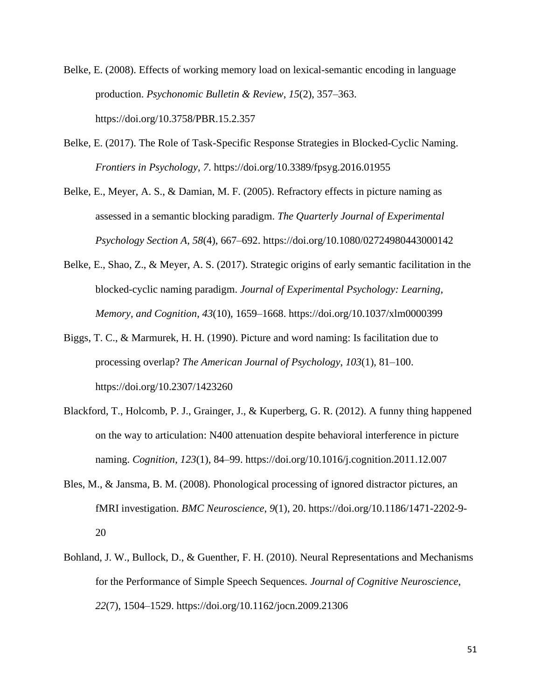Belke, E. (2008). Effects of working memory load on lexical-semantic encoding in language production. *Psychonomic Bulletin & Review*, *15*(2), 357–363. https://doi.org/10.3758/PBR.15.2.357

- Belke, E. (2017). The Role of Task-Specific Response Strategies in Blocked-Cyclic Naming. *Frontiers in Psychology*, *7*. https://doi.org/10.3389/fpsyg.2016.01955
- Belke, E., Meyer, A. S., & Damian, M. F. (2005). Refractory effects in picture naming as assessed in a semantic blocking paradigm. *The Quarterly Journal of Experimental Psychology Section A*, *58*(4), 667–692. https://doi.org/10.1080/02724980443000142
- Belke, E., Shao, Z., & Meyer, A. S. (2017). Strategic origins of early semantic facilitation in the blocked-cyclic naming paradigm. *Journal of Experimental Psychology: Learning, Memory, and Cognition*, *43*(10), 1659–1668. https://doi.org/10.1037/xlm0000399
- Biggs, T. C., & Marmurek, H. H. (1990). Picture and word naming: Is facilitation due to processing overlap? *The American Journal of Psychology*, *103*(1), 81–100. https://doi.org/10.2307/1423260
- Blackford, T., Holcomb, P. J., Grainger, J., & Kuperberg, G. R. (2012). A funny thing happened on the way to articulation: N400 attenuation despite behavioral interference in picture naming. *Cognition*, *123*(1), 84–99. https://doi.org/10.1016/j.cognition.2011.12.007
- Bles, M., & Jansma, B. M. (2008). Phonological processing of ignored distractor pictures, an fMRI investigation. *BMC Neuroscience*, *9*(1), 20. https://doi.org/10.1186/1471-2202-9- 20
- Bohland, J. W., Bullock, D., & Guenther, F. H. (2010). Neural Representations and Mechanisms for the Performance of Simple Speech Sequences. *Journal of Cognitive Neuroscience*, *22*(7), 1504–1529. https://doi.org/10.1162/jocn.2009.21306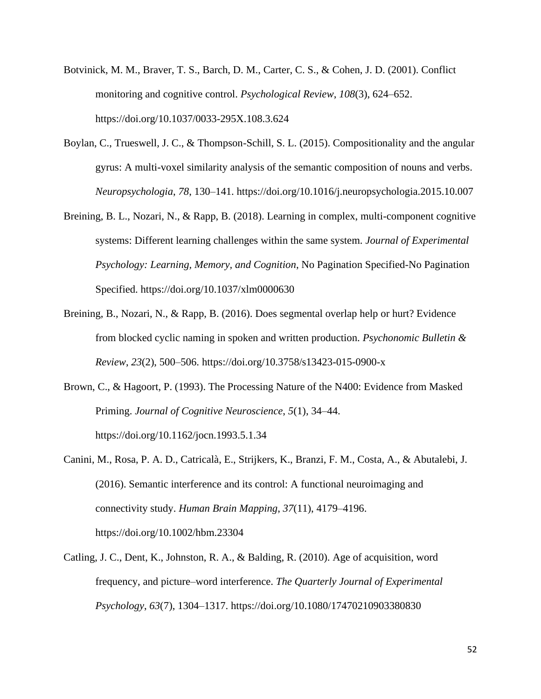- Botvinick, M. M., Braver, T. S., Barch, D. M., Carter, C. S., & Cohen, J. D. (2001). Conflict monitoring and cognitive control. *Psychological Review*, *108*(3), 624–652. https://doi.org/10.1037/0033-295X.108.3.624
- Boylan, C., Trueswell, J. C., & Thompson-Schill, S. L. (2015). Compositionality and the angular gyrus: A multi-voxel similarity analysis of the semantic composition of nouns and verbs. *Neuropsychologia*, *78*, 130–141. https://doi.org/10.1016/j.neuropsychologia.2015.10.007
- Breining, B. L., Nozari, N., & Rapp, B. (2018). Learning in complex, multi-component cognitive systems: Different learning challenges within the same system. *Journal of Experimental Psychology: Learning, Memory, and Cognition*, No Pagination Specified-No Pagination Specified. https://doi.org/10.1037/xlm0000630
- Breining, B., Nozari, N., & Rapp, B. (2016). Does segmental overlap help or hurt? Evidence from blocked cyclic naming in spoken and written production. *Psychonomic Bulletin & Review*, *23*(2), 500–506. https://doi.org/10.3758/s13423-015-0900-x
- Brown, C., & Hagoort, P. (1993). The Processing Nature of the N400: Evidence from Masked Priming. *Journal of Cognitive Neuroscience*, *5*(1), 34–44. https://doi.org/10.1162/jocn.1993.5.1.34
- Canini, M., Rosa, P. A. D., Catricalà, E., Strijkers, K., Branzi, F. M., Costa, A., & Abutalebi, J. (2016). Semantic interference and its control: A functional neuroimaging and connectivity study. *Human Brain Mapping*, *37*(11), 4179–4196. https://doi.org/10.1002/hbm.23304
- Catling, J. C., Dent, K., Johnston, R. A., & Balding, R. (2010). Age of acquisition, word frequency, and picture–word interference. *The Quarterly Journal of Experimental Psychology*, *63*(7), 1304–1317. https://doi.org/10.1080/17470210903380830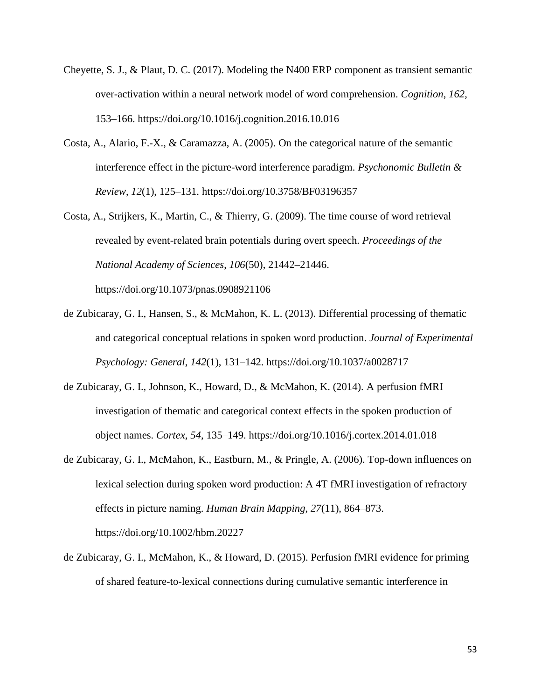- Cheyette, S. J., & Plaut, D. C. (2017). Modeling the N400 ERP component as transient semantic over-activation within a neural network model of word comprehension. *Cognition*, *162*, 153–166. https://doi.org/10.1016/j.cognition.2016.10.016
- Costa, A., Alario, F.-X., & Caramazza, A. (2005). On the categorical nature of the semantic interference effect in the picture-word interference paradigm. *Psychonomic Bulletin & Review*, *12*(1), 125–131. https://doi.org/10.3758/BF03196357
- Costa, A., Strijkers, K., Martin, C., & Thierry, G. (2009). The time course of word retrieval revealed by event-related brain potentials during overt speech. *Proceedings of the National Academy of Sciences*, *106*(50), 21442–21446.

https://doi.org/10.1073/pnas.0908921106

- de Zubicaray, G. I., Hansen, S., & McMahon, K. L. (2013). Differential processing of thematic and categorical conceptual relations in spoken word production. *Journal of Experimental Psychology: General*, *142*(1), 131–142. https://doi.org/10.1037/a0028717
- de Zubicaray, G. I., Johnson, K., Howard, D., & McMahon, K. (2014). A perfusion fMRI investigation of thematic and categorical context effects in the spoken production of object names. *Cortex*, *54*, 135–149. https://doi.org/10.1016/j.cortex.2014.01.018
- de Zubicaray, G. I., McMahon, K., Eastburn, M., & Pringle, A. (2006). Top-down influences on lexical selection during spoken word production: A 4T fMRI investigation of refractory effects in picture naming. *Human Brain Mapping*, *27*(11), 864–873. https://doi.org/10.1002/hbm.20227
- de Zubicaray, G. I., McMahon, K., & Howard, D. (2015). Perfusion fMRI evidence for priming of shared feature-to-lexical connections during cumulative semantic interference in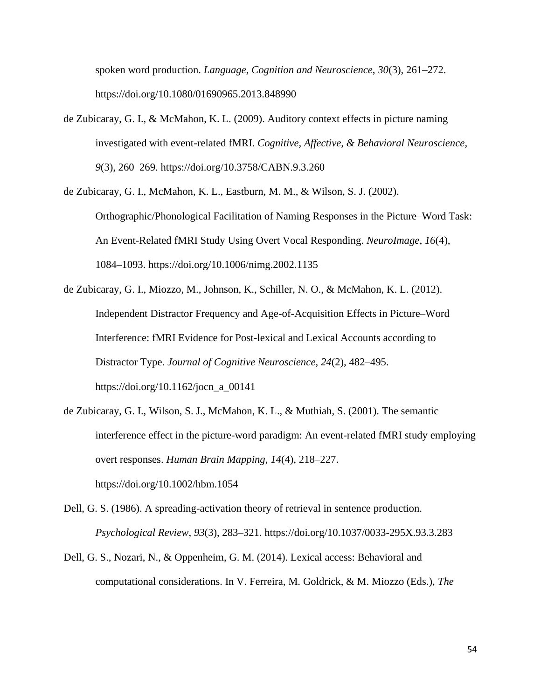spoken word production. *Language, Cognition and Neuroscience*, *30*(3), 261–272. https://doi.org/10.1080/01690965.2013.848990

de Zubicaray, G. I., & McMahon, K. L. (2009). Auditory context effects in picture naming investigated with event-related fMRI. *Cognitive, Affective, & Behavioral Neuroscience*, *9*(3), 260–269. https://doi.org/10.3758/CABN.9.3.260

de Zubicaray, G. I., McMahon, K. L., Eastburn, M. M., & Wilson, S. J. (2002).

Orthographic/Phonological Facilitation of Naming Responses in the Picture–Word Task: An Event-Related fMRI Study Using Overt Vocal Responding. *NeuroImage*, *16*(4), 1084–1093. https://doi.org/10.1006/nimg.2002.1135

de Zubicaray, G. I., Miozzo, M., Johnson, K., Schiller, N. O., & McMahon, K. L. (2012). Independent Distractor Frequency and Age-of-Acquisition Effects in Picture–Word Interference: fMRI Evidence for Post-lexical and Lexical Accounts according to Distractor Type. *Journal of Cognitive Neuroscience*, *24*(2), 482–495. https://doi.org/10.1162/jocn\_a\_00141

- de Zubicaray, G. I., Wilson, S. J., McMahon, K. L., & Muthiah, S. (2001). The semantic interference effect in the picture-word paradigm: An event-related fMRI study employing overt responses. *Human Brain Mapping*, *14*(4), 218–227. https://doi.org/10.1002/hbm.1054
- Dell, G. S. (1986). A spreading-activation theory of retrieval in sentence production. *Psychological Review*, *93*(3), 283–321. https://doi.org/10.1037/0033-295X.93.3.283
- Dell, G. S., Nozari, N., & Oppenheim, G. M. (2014). Lexical access: Behavioral and computational considerations. In V. Ferreira, M. Goldrick, & M. Miozzo (Eds.), *The*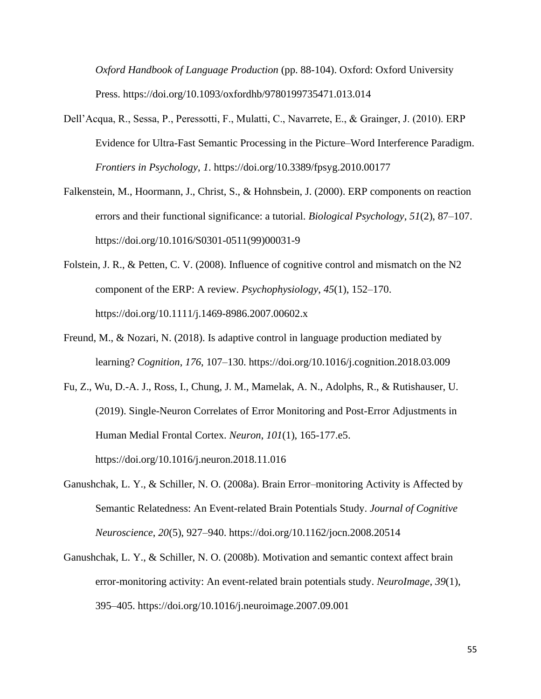*Oxford Handbook of Language Production* (pp. 88-104). Oxford: Oxford University Press. https://doi.org/10.1093/oxfordhb/9780199735471.013.014

- Dell'Acqua, R., Sessa, P., Peressotti, F., Mulatti, C., Navarrete, E., & Grainger, J. (2010). ERP Evidence for Ultra-Fast Semantic Processing in the Picture–Word Interference Paradigm. *Frontiers in Psychology*, *1*. https://doi.org/10.3389/fpsyg.2010.00177
- Falkenstein, M., Hoormann, J., Christ, S., & Hohnsbein, J. (2000). ERP components on reaction errors and their functional significance: a tutorial. *Biological Psychology*, *51*(2), 87–107. https://doi.org/10.1016/S0301-0511(99)00031-9
- Folstein, J. R., & Petten, C. V. (2008). Influence of cognitive control and mismatch on the N2 component of the ERP: A review. *Psychophysiology*, *45*(1), 152–170. https://doi.org/10.1111/j.1469-8986.2007.00602.x
- Freund, M., & Nozari, N. (2018). Is adaptive control in language production mediated by learning? *Cognition*, *176*, 107–130. https://doi.org/10.1016/j.cognition.2018.03.009
- Fu, Z., Wu, D.-A. J., Ross, I., Chung, J. M., Mamelak, A. N., Adolphs, R., & Rutishauser, U. (2019). Single-Neuron Correlates of Error Monitoring and Post-Error Adjustments in Human Medial Frontal Cortex. *Neuron*, *101*(1), 165-177.e5. https://doi.org/10.1016/j.neuron.2018.11.016
- Ganushchak, L. Y., & Schiller, N. O. (2008a). Brain Error–monitoring Activity is Affected by Semantic Relatedness: An Event-related Brain Potentials Study. *Journal of Cognitive Neuroscience*, *20*(5), 927–940. https://doi.org/10.1162/jocn.2008.20514
- Ganushchak, L. Y., & Schiller, N. O. (2008b). Motivation and semantic context affect brain error-monitoring activity: An event-related brain potentials study. *NeuroImage*, *39*(1), 395–405. https://doi.org/10.1016/j.neuroimage.2007.09.001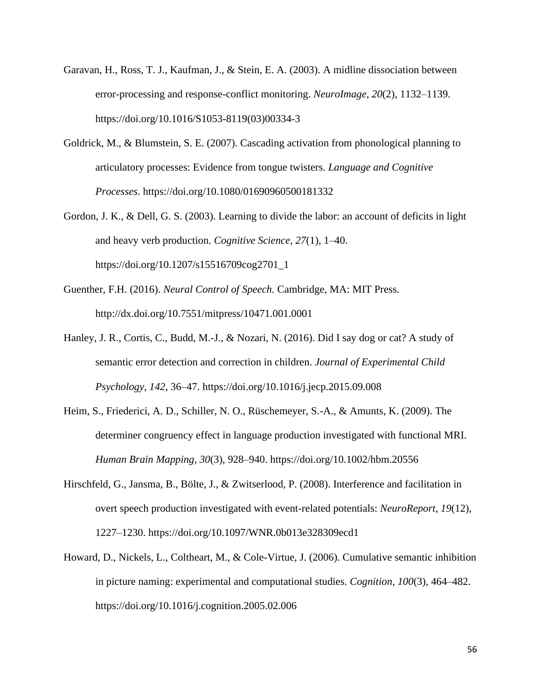- Garavan, H., Ross, T. J., Kaufman, J., & Stein, E. A. (2003). A midline dissociation between error-processing and response-conflict monitoring. *NeuroImage*, *20*(2), 1132–1139. https://doi.org/10.1016/S1053-8119(03)00334-3
- Goldrick, M., & Blumstein, S. E. (2007). Cascading activation from phonological planning to articulatory processes: Evidence from tongue twisters. *Language and Cognitive Processes*. https://doi.org/10.1080/01690960500181332
- Gordon, J. K., & Dell, G. S. (2003). Learning to divide the labor: an account of deficits in light and heavy verb production. *Cognitive Science*, *27*(1), 1–40. https://doi.org/10.1207/s15516709cog2701\_1
- Guenther, F.H. (2016). *Neural Control of Speech.* Cambridge, MA: MIT Press. http://dx.doi.org/10.7551/mitpress/10471.001.0001
- Hanley, J. R., Cortis, C., Budd, M.-J., & Nozari, N. (2016). Did I say dog or cat? A study of semantic error detection and correction in children. *Journal of Experimental Child Psychology*, *142*, 36–47. https://doi.org/10.1016/j.jecp.2015.09.008
- Heim, S., Friederici, A. D., Schiller, N. O., Rüschemeyer, S.-A., & Amunts, K. (2009). The determiner congruency effect in language production investigated with functional MRI. *Human Brain Mapping*, *30*(3), 928–940. https://doi.org/10.1002/hbm.20556
- Hirschfeld, G., Jansma, B., Bölte, J., & Zwitserlood, P. (2008). Interference and facilitation in overt speech production investigated with event-related potentials: *NeuroReport*, *19*(12), 1227–1230. https://doi.org/10.1097/WNR.0b013e328309ecd1
- Howard, D., Nickels, L., Coltheart, M., & Cole-Virtue, J. (2006). Cumulative semantic inhibition in picture naming: experimental and computational studies. *Cognition*, *100*(3), 464–482. https://doi.org/10.1016/j.cognition.2005.02.006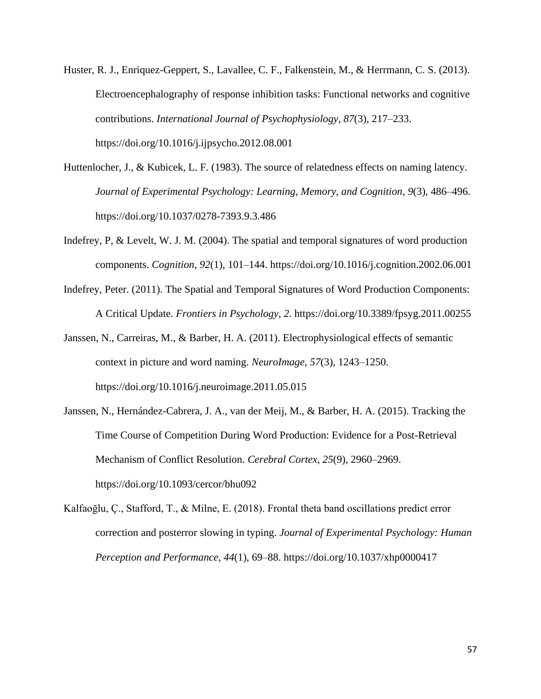- Huster, R. J., Enriquez-Geppert, S., Lavallee, C. F., Falkenstein, M., & Herrmann, C. S. (2013). Electroencephalography of response inhibition tasks: Functional networks and cognitive contributions. *International Journal of Psychophysiology*, *87*(3), 217–233. https://doi.org/10.1016/j.ijpsycho.2012.08.001
- Huttenlocher, J., & Kubicek, L. F. (1983). The source of relatedness effects on naming latency. *Journal of Experimental Psychology: Learning, Memory, and Cognition*, *9*(3), 486–496. https://doi.org/10.1037/0278-7393.9.3.486
- Indefrey, P, & Levelt, W. J. M. (2004). The spatial and temporal signatures of word production components. *Cognition*, *92*(1), 101–144. https://doi.org/10.1016/j.cognition.2002.06.001
- Indefrey, Peter. (2011). The Spatial and Temporal Signatures of Word Production Components: A Critical Update. *Frontiers in Psychology*, *2*. https://doi.org/10.3389/fpsyg.2011.00255
- Janssen, N., Carreiras, M., & Barber, H. A. (2011). Electrophysiological effects of semantic context in picture and word naming. *NeuroImage*, *57*(3), 1243–1250. https://doi.org/10.1016/j.neuroimage.2011.05.015
- Janssen, N., Hernández-Cabrera, J. A., van der Meij, M., & Barber, H. A. (2015). Tracking the Time Course of Competition During Word Production: Evidence for a Post-Retrieval Mechanism of Conflict Resolution. *Cerebral Cortex*, *25*(9), 2960–2969. https://doi.org/10.1093/cercor/bhu092
- Kalfaoğlu, Ç., Stafford, T., & Milne, E. (2018). Frontal theta band oscillations predict error correction and posterror slowing in typing. *Journal of Experimental Psychology: Human Perception and Performance*, *44*(1), 69–88. https://doi.org/10.1037/xhp0000417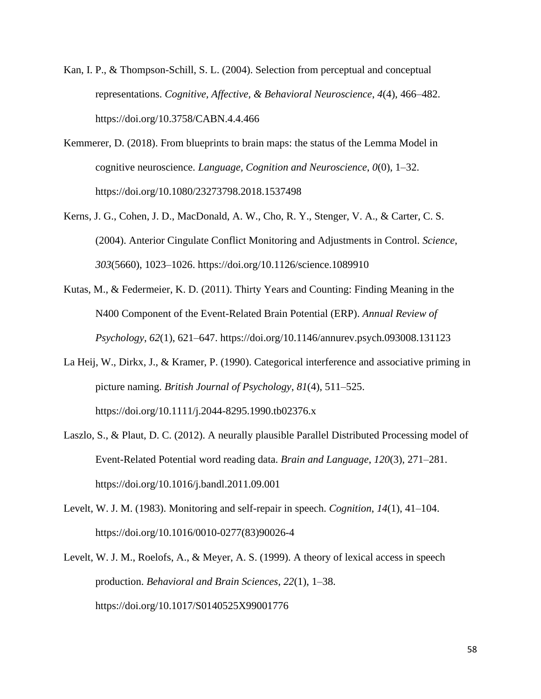- Kan, I. P., & Thompson-Schill, S. L. (2004). Selection from perceptual and conceptual representations. *Cognitive, Affective, & Behavioral Neuroscience*, *4*(4), 466–482. https://doi.org/10.3758/CABN.4.4.466
- Kemmerer, D. (2018). From blueprints to brain maps: the status of the Lemma Model in cognitive neuroscience. *Language, Cognition and Neuroscience*, *0*(0), 1–32. https://doi.org/10.1080/23273798.2018.1537498
- Kerns, J. G., Cohen, J. D., MacDonald, A. W., Cho, R. Y., Stenger, V. A., & Carter, C. S. (2004). Anterior Cingulate Conflict Monitoring and Adjustments in Control. *Science*, *303*(5660), 1023–1026. https://doi.org/10.1126/science.1089910
- Kutas, M., & Federmeier, K. D. (2011). Thirty Years and Counting: Finding Meaning in the N400 Component of the Event-Related Brain Potential (ERP). *Annual Review of Psychology*, *62*(1), 621–647. https://doi.org/10.1146/annurev.psych.093008.131123
- La Heij, W., Dirkx, J., & Kramer, P. (1990). Categorical interference and associative priming in picture naming. *British Journal of Psychology*, *81*(4), 511–525. https://doi.org/10.1111/j.2044-8295.1990.tb02376.x
- Laszlo, S., & Plaut, D. C. (2012). A neurally plausible Parallel Distributed Processing model of Event-Related Potential word reading data. *Brain and Language*, *120*(3), 271–281. https://doi.org/10.1016/j.bandl.2011.09.001
- Levelt, W. J. M. (1983). Monitoring and self-repair in speech. *Cognition*, *14*(1), 41–104. https://doi.org/10.1016/0010-0277(83)90026-4
- Levelt, W. J. M., Roelofs, A., & Meyer, A. S. (1999). A theory of lexical access in speech production. *Behavioral and Brain Sciences*, *22*(1), 1–38. https://doi.org/10.1017/S0140525X99001776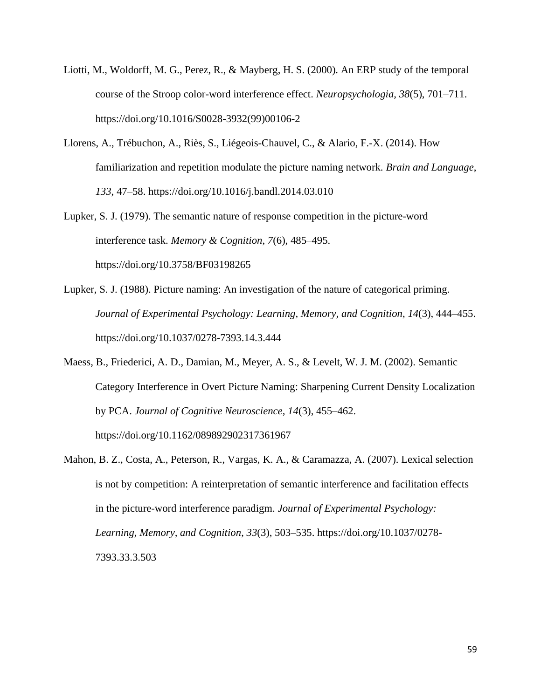- Liotti, M., Woldorff, M. G., Perez, R., & Mayberg, H. S. (2000). An ERP study of the temporal course of the Stroop color-word interference effect. *Neuropsychologia*, *38*(5), 701–711. https://doi.org/10.1016/S0028-3932(99)00106-2
- Llorens, A., Trébuchon, A., Riès, S., Liégeois-Chauvel, C., & Alario, F.-X. (2014). How familiarization and repetition modulate the picture naming network. *Brain and Language*, *133*, 47–58. https://doi.org/10.1016/j.bandl.2014.03.010
- Lupker, S. J. (1979). The semantic nature of response competition in the picture-word interference task. *Memory & Cognition*, *7*(6), 485–495. https://doi.org/10.3758/BF03198265
- Lupker, S. J. (1988). Picture naming: An investigation of the nature of categorical priming. *Journal of Experimental Psychology: Learning, Memory, and Cognition*, *14*(3), 444–455. https://doi.org/10.1037/0278-7393.14.3.444
- Maess, B., Friederici, A. D., Damian, M., Meyer, A. S., & Levelt, W. J. M. (2002). Semantic Category Interference in Overt Picture Naming: Sharpening Current Density Localization by PCA. *Journal of Cognitive Neuroscience*, *14*(3), 455–462. https://doi.org/10.1162/089892902317361967
- Mahon, B. Z., Costa, A., Peterson, R., Vargas, K. A., & Caramazza, A. (2007). Lexical selection is not by competition: A reinterpretation of semantic interference and facilitation effects in the picture-word interference paradigm. *Journal of Experimental Psychology: Learning, Memory, and Cognition*, *33*(3), 503–535. https://doi.org/10.1037/0278- 7393.33.3.503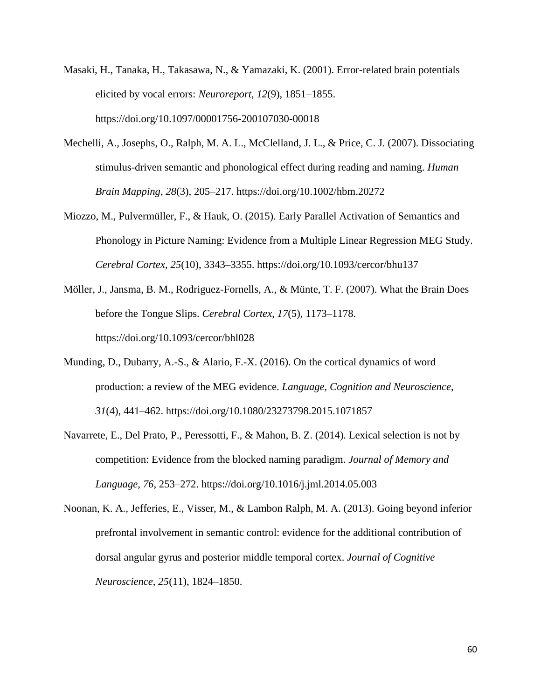- Masaki, H., Tanaka, H., Takasawa, N., & Yamazaki, K. (2001). Error-related brain potentials elicited by vocal errors: *Neuroreport*, *12*(9), 1851–1855. https://doi.org/10.1097/00001756-200107030-00018
- Mechelli, A., Josephs, O., Ralph, M. A. L., McClelland, J. L., & Price, C. J. (2007). Dissociating stimulus-driven semantic and phonological effect during reading and naming. *Human Brain Mapping*, *28*(3), 205–217. https://doi.org/10.1002/hbm.20272
- Miozzo, M., Pulvermüller, F., & Hauk, O. (2015). Early Parallel Activation of Semantics and Phonology in Picture Naming: Evidence from a Multiple Linear Regression MEG Study. *Cerebral Cortex*, *25*(10), 3343–3355. https://doi.org/10.1093/cercor/bhu137
- Möller, J., Jansma, B. M., Rodriguez-Fornells, A., & Münte, T. F. (2007). What the Brain Does before the Tongue Slips. *Cerebral Cortex*, *17*(5), 1173–1178. https://doi.org/10.1093/cercor/bhl028
- Munding, D., Dubarry, A.-S., & Alario, F.-X. (2016). On the cortical dynamics of word production: a review of the MEG evidence. *Language, Cognition and Neuroscience*, *31*(4), 441–462. https://doi.org/10.1080/23273798.2015.1071857
- Navarrete, E., Del Prato, P., Peressotti, F., & Mahon, B. Z. (2014). Lexical selection is not by competition: Evidence from the blocked naming paradigm. *Journal of Memory and Language*, *76*, 253–272. https://doi.org/10.1016/j.jml.2014.05.003
- Noonan, K. A., Jefferies, E., Visser, M., & Lambon Ralph, M. A. (2013). Going beyond inferior prefrontal involvement in semantic control: evidence for the additional contribution of dorsal angular gyrus and posterior middle temporal cortex. *Journal of Cognitive Neuroscience*, *25*(11), 1824–1850.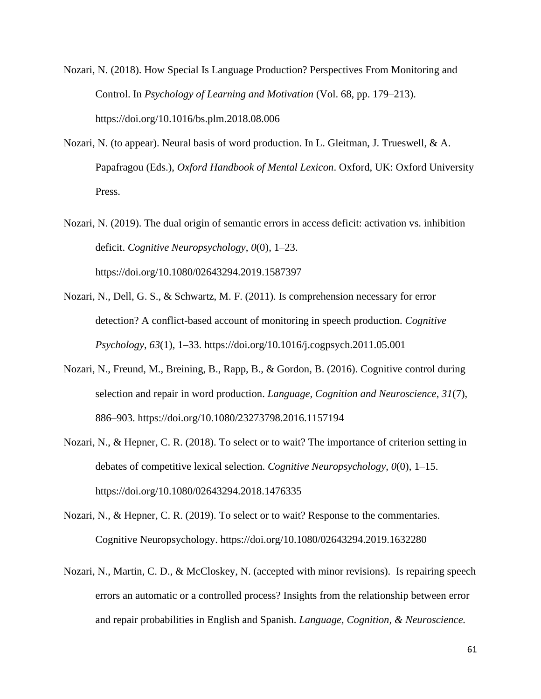Nozari, N. (2018). How Special Is Language Production? Perspectives From Monitoring and Control. In *Psychology of Learning and Motivation* (Vol. 68, pp. 179–213). https://doi.org/10.1016/bs.plm.2018.08.006

- Nozari, N. (to appear). Neural basis of word production. In L. Gleitman, J. Trueswell, & A. Papafragou (Eds.), *Oxford Handbook of Mental Lexicon*. Oxford, UK: Oxford University Press.
- Nozari, N. (2019). The dual origin of semantic errors in access deficit: activation vs. inhibition deficit. *Cognitive Neuropsychology*, *0*(0), 1–23. https://doi.org/10.1080/02643294.2019.1587397
- Nozari, N., Dell, G. S., & Schwartz, M. F. (2011). Is comprehension necessary for error detection? A conflict-based account of monitoring in speech production. *Cognitive Psychology*, *63*(1), 1–33. https://doi.org/10.1016/j.cogpsych.2011.05.001
- Nozari, N., Freund, M., Breining, B., Rapp, B., & Gordon, B. (2016). Cognitive control during selection and repair in word production. *Language, Cognition and Neuroscience*, *31*(7), 886–903. https://doi.org/10.1080/23273798.2016.1157194
- Nozari, N., & Hepner, C. R. (2018). To select or to wait? The importance of criterion setting in debates of competitive lexical selection. *Cognitive Neuropsychology*, *0*(0), 1–15. https://doi.org/10.1080/02643294.2018.1476335
- Nozari, N., & Hepner, C. R. (2019). To select or to wait? Response to the commentaries. Cognitive Neuropsychology. https://doi.org/10.1080/02643294.2019.1632280
- Nozari, N., Martin, C. D., & McCloskey, N. (accepted with minor revisions). Is repairing speech errors an automatic or a controlled process? Insights from the relationship between error and repair probabilities in English and Spanish. *Language, Cognition, & Neuroscience.*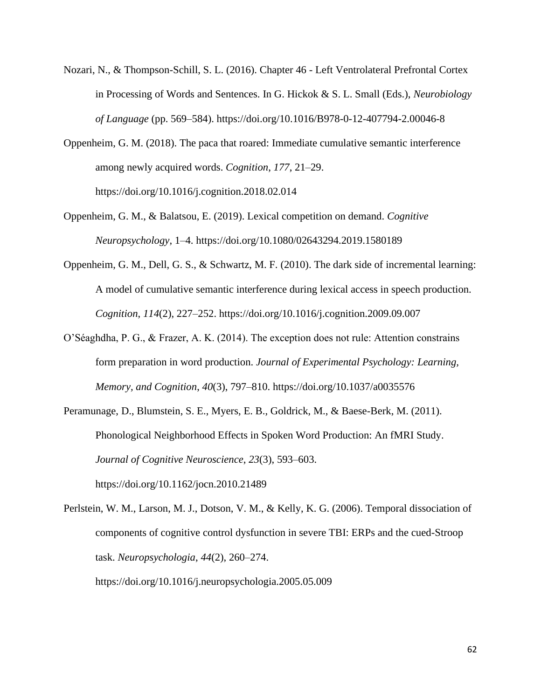- Nozari, N., & Thompson-Schill, S. L. (2016). Chapter 46 Left Ventrolateral Prefrontal Cortex in Processing of Words and Sentences. In G. Hickok & S. L. Small (Eds.), *Neurobiology of Language* (pp. 569–584). https://doi.org/10.1016/B978-0-12-407794-2.00046-8
- Oppenheim, G. M. (2018). The paca that roared: Immediate cumulative semantic interference among newly acquired words. *Cognition*, *177*, 21–29. https://doi.org/10.1016/j.cognition.2018.02.014
- Oppenheim, G. M., & Balatsou, E. (2019). Lexical competition on demand. *Cognitive Neuropsychology*, 1–4. https://doi.org/10.1080/02643294.2019.1580189
- Oppenheim, G. M., Dell, G. S., & Schwartz, M. F. (2010). The dark side of incremental learning: A model of cumulative semantic interference during lexical access in speech production. *Cognition*, *114*(2), 227–252. https://doi.org/10.1016/j.cognition.2009.09.007
- O'Séaghdha, P. G., & Frazer, A. K. (2014). The exception does not rule: Attention constrains form preparation in word production. *Journal of Experimental Psychology: Learning, Memory, and Cognition*, *40*(3), 797–810. https://doi.org/10.1037/a0035576
- Peramunage, D., Blumstein, S. E., Myers, E. B., Goldrick, M., & Baese-Berk, M. (2011). Phonological Neighborhood Effects in Spoken Word Production: An fMRI Study. *Journal of Cognitive Neuroscience*, *23*(3), 593–603. https://doi.org/10.1162/jocn.2010.21489
- Perlstein, W. M., Larson, M. J., Dotson, V. M., & Kelly, K. G. (2006). Temporal dissociation of components of cognitive control dysfunction in severe TBI: ERPs and the cued-Stroop task. *Neuropsychologia*, *44*(2), 260–274.

https://doi.org/10.1016/j.neuropsychologia.2005.05.009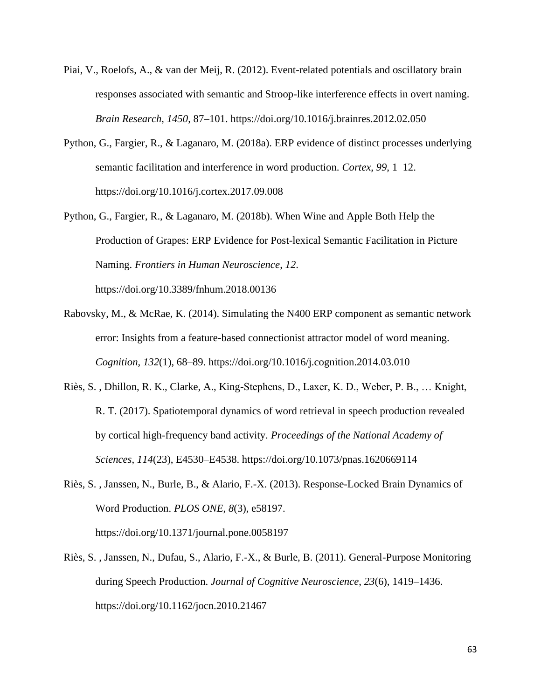- Piai, V., Roelofs, A., & van der Meij, R. (2012). Event-related potentials and oscillatory brain responses associated with semantic and Stroop-like interference effects in overt naming. *Brain Research*, *1450*, 87–101. https://doi.org/10.1016/j.brainres.2012.02.050
- Python, G., Fargier, R., & Laganaro, M. (2018a). ERP evidence of distinct processes underlying semantic facilitation and interference in word production. *Cortex*, *99*, 1–12. https://doi.org/10.1016/j.cortex.2017.09.008
- Python, G., Fargier, R., & Laganaro, M. (2018b). When Wine and Apple Both Help the Production of Grapes: ERP Evidence for Post-lexical Semantic Facilitation in Picture Naming. *Frontiers in Human Neuroscience*, *12*.

https://doi.org/10.3389/fnhum.2018.00136

- Rabovsky, M., & McRae, K. (2014). Simulating the N400 ERP component as semantic network error: Insights from a feature-based connectionist attractor model of word meaning. *Cognition*, *132*(1), 68–89. https://doi.org/10.1016/j.cognition.2014.03.010
- Riès, S. , Dhillon, R. K., Clarke, A., King-Stephens, D., Laxer, K. D., Weber, P. B., … Knight, R. T. (2017). Spatiotemporal dynamics of word retrieval in speech production revealed by cortical high-frequency band activity. *Proceedings of the National Academy of Sciences*, *114*(23), E4530–E4538. https://doi.org/10.1073/pnas.1620669114
- Riès, S. , Janssen, N., Burle, B., & Alario, F.-X. (2013). Response-Locked Brain Dynamics of Word Production. *PLOS ONE*, *8*(3), e58197. https://doi.org/10.1371/journal.pone.0058197
- Riès, S. , Janssen, N., Dufau, S., Alario, F.-X., & Burle, B. (2011). General-Purpose Monitoring during Speech Production. *Journal of Cognitive Neuroscience*, *23*(6), 1419–1436. https://doi.org/10.1162/jocn.2010.21467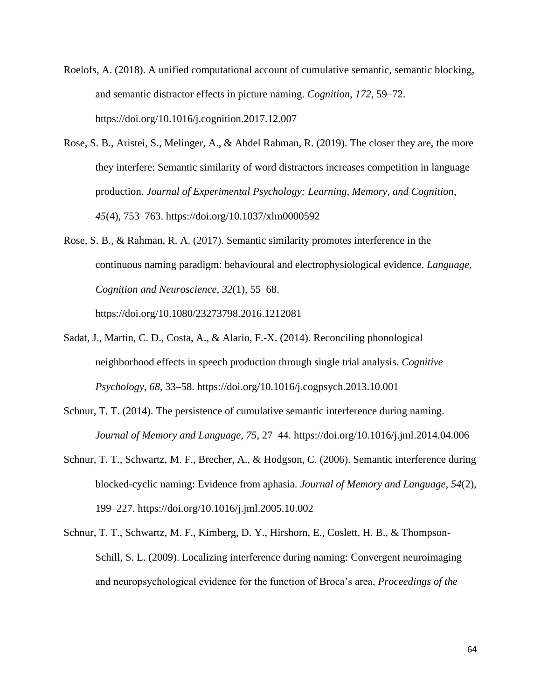- Roelofs, A. (2018). A unified computational account of cumulative semantic, semantic blocking, and semantic distractor effects in picture naming. *Cognition*, *172*, 59–72. https://doi.org/10.1016/j.cognition.2017.12.007
- Rose, S. B., Aristei, S., Melinger, A., & Abdel Rahman, R. (2019). The closer they are, the more they interfere: Semantic similarity of word distractors increases competition in language production. *Journal of Experimental Psychology: Learning, Memory, and Cognition*, *45*(4), 753–763. https://doi.org/10.1037/xlm0000592
- Rose, S. B., & Rahman, R. A. (2017). Semantic similarity promotes interference in the continuous naming paradigm: behavioural and electrophysiological evidence. *Language, Cognition and Neuroscience*, *32*(1), 55–68.

https://doi.org/10.1080/23273798.2016.1212081

- Sadat, J., Martin, C. D., Costa, A., & Alario, F.-X. (2014). Reconciling phonological neighborhood effects in speech production through single trial analysis. *Cognitive Psychology*, *68*, 33–58. https://doi.org/10.1016/j.cogpsych.2013.10.001
- Schnur, T. T. (2014). The persistence of cumulative semantic interference during naming. *Journal of Memory and Language*, *75*, 27–44. https://doi.org/10.1016/j.jml.2014.04.006
- Schnur, T. T., Schwartz, M. F., Brecher, A., & Hodgson, C. (2006). Semantic interference during blocked-cyclic naming: Evidence from aphasia. *Journal of Memory and Language*, *54*(2), 199–227. https://doi.org/10.1016/j.jml.2005.10.002
- Schnur, T. T., Schwartz, M. F., Kimberg, D. Y., Hirshorn, E., Coslett, H. B., & Thompson-Schill, S. L. (2009). Localizing interference during naming: Convergent neuroimaging and neuropsychological evidence for the function of Broca's area. *Proceedings of the*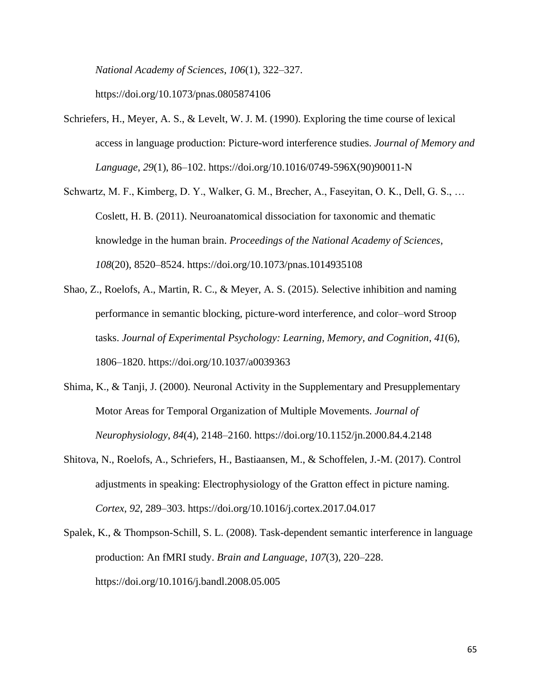*National Academy of Sciences*, *106*(1), 322–327.

https://doi.org/10.1073/pnas.0805874106

- Schriefers, H., Meyer, A. S., & Levelt, W. J. M. (1990). Exploring the time course of lexical access in language production: Picture-word interference studies. *Journal of Memory and Language*, *29*(1), 86–102. https://doi.org/10.1016/0749-596X(90)90011-N
- Schwartz, M. F., Kimberg, D. Y., Walker, G. M., Brecher, A., Faseyitan, O. K., Dell, G. S., … Coslett, H. B. (2011). Neuroanatomical dissociation for taxonomic and thematic knowledge in the human brain. *Proceedings of the National Academy of Sciences*, *108*(20), 8520–8524. https://doi.org/10.1073/pnas.1014935108
- Shao, Z., Roelofs, A., Martin, R. C., & Meyer, A. S. (2015). Selective inhibition and naming performance in semantic blocking, picture-word interference, and color–word Stroop tasks. *Journal of Experimental Psychology: Learning, Memory, and Cognition*, *41*(6), 1806–1820. https://doi.org/10.1037/a0039363
- Shima, K., & Tanji, J. (2000). Neuronal Activity in the Supplementary and Presupplementary Motor Areas for Temporal Organization of Multiple Movements. *Journal of Neurophysiology*, *84*(4), 2148–2160. https://doi.org/10.1152/jn.2000.84.4.2148
- Shitova, N., Roelofs, A., Schriefers, H., Bastiaansen, M., & Schoffelen, J.-M. (2017). Control adjustments in speaking: Electrophysiology of the Gratton effect in picture naming. *Cortex*, *92*, 289–303. https://doi.org/10.1016/j.cortex.2017.04.017
- Spalek, K., & Thompson-Schill, S. L. (2008). Task-dependent semantic interference in language production: An fMRI study. *Brain and Language*, *107*(3), 220–228. https://doi.org/10.1016/j.bandl.2008.05.005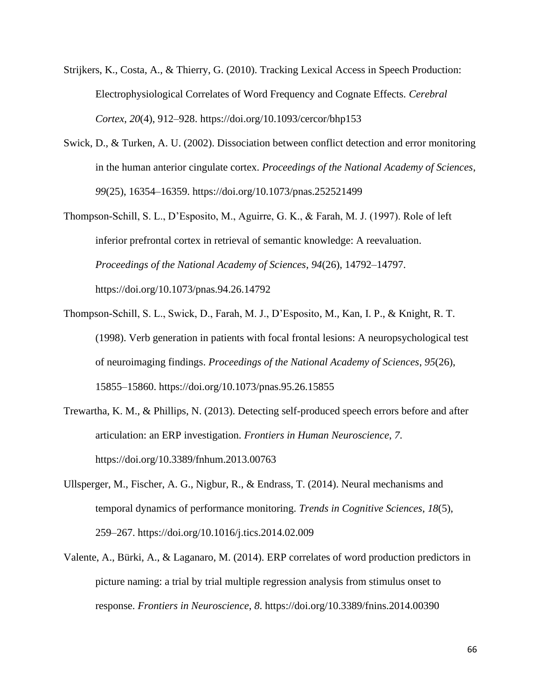- Strijkers, K., Costa, A., & Thierry, G. (2010). Tracking Lexical Access in Speech Production: Electrophysiological Correlates of Word Frequency and Cognate Effects. *Cerebral Cortex*, *20*(4), 912–928. https://doi.org/10.1093/cercor/bhp153
- Swick, D., & Turken, A. U. (2002). Dissociation between conflict detection and error monitoring in the human anterior cingulate cortex. *Proceedings of the National Academy of Sciences*, *99*(25), 16354–16359. https://doi.org/10.1073/pnas.252521499
- Thompson-Schill, S. L., D'Esposito, M., Aguirre, G. K., & Farah, M. J. (1997). Role of left inferior prefrontal cortex in retrieval of semantic knowledge: A reevaluation. *Proceedings of the National Academy of Sciences*, *94*(26), 14792–14797. https://doi.org/10.1073/pnas.94.26.14792
- Thompson-Schill, S. L., Swick, D., Farah, M. J., D'Esposito, M., Kan, I. P., & Knight, R. T. (1998). Verb generation in patients with focal frontal lesions: A neuropsychological test of neuroimaging findings. *Proceedings of the National Academy of Sciences*, *95*(26), 15855–15860. https://doi.org/10.1073/pnas.95.26.15855
- Trewartha, K. M., & Phillips, N. (2013). Detecting self-produced speech errors before and after articulation: an ERP investigation. *Frontiers in Human Neuroscience*, *7*. https://doi.org/10.3389/fnhum.2013.00763
- Ullsperger, M., Fischer, A. G., Nigbur, R., & Endrass, T. (2014). Neural mechanisms and temporal dynamics of performance monitoring. *Trends in Cognitive Sciences*, *18*(5), 259–267. https://doi.org/10.1016/j.tics.2014.02.009
- Valente, A., Bürki, A., & Laganaro, M. (2014). ERP correlates of word production predictors in picture naming: a trial by trial multiple regression analysis from stimulus onset to response. *Frontiers in Neuroscience*, *8*. https://doi.org/10.3389/fnins.2014.00390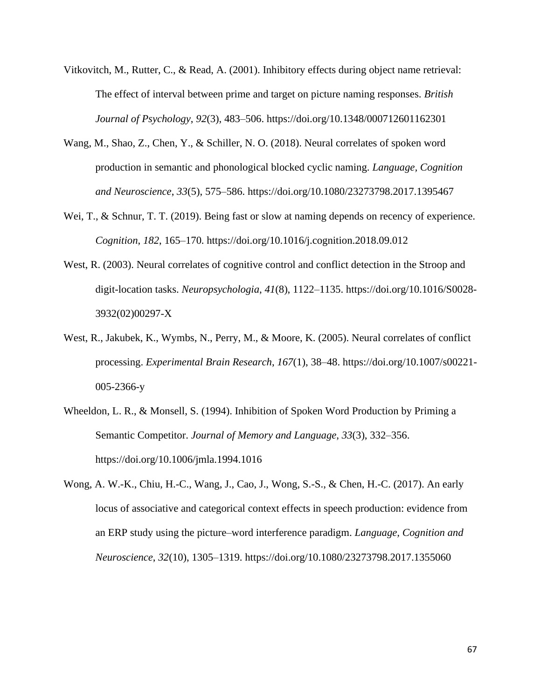- Vitkovitch, M., Rutter, C., & Read, A. (2001). Inhibitory effects during object name retrieval: The effect of interval between prime and target on picture naming responses. *British Journal of Psychology*, *92*(3), 483–506. https://doi.org/10.1348/000712601162301
- Wang, M., Shao, Z., Chen, Y., & Schiller, N. O. (2018). Neural correlates of spoken word production in semantic and phonological blocked cyclic naming. *Language, Cognition and Neuroscience*, *33*(5), 575–586. https://doi.org/10.1080/23273798.2017.1395467
- Wei, T., & Schnur, T. T. (2019). Being fast or slow at naming depends on recency of experience. *Cognition*, *182*, 165–170. https://doi.org/10.1016/j.cognition.2018.09.012
- West, R. (2003). Neural correlates of cognitive control and conflict detection in the Stroop and digit-location tasks. *Neuropsychologia*, *41*(8), 1122–1135. https://doi.org/10.1016/S0028- 3932(02)00297-X
- West, R., Jakubek, K., Wymbs, N., Perry, M., & Moore, K. (2005). Neural correlates of conflict processing. *Experimental Brain Research*, *167*(1), 38–48. https://doi.org/10.1007/s00221- 005-2366-y
- Wheeldon, L. R., & Monsell, S. (1994). Inhibition of Spoken Word Production by Priming a Semantic Competitor. *Journal of Memory and Language*, *33*(3), 332–356. https://doi.org/10.1006/jmla.1994.1016
- Wong, A. W.-K., Chiu, H.-C., Wang, J., Cao, J., Wong, S.-S., & Chen, H.-C. (2017). An early locus of associative and categorical context effects in speech production: evidence from an ERP study using the picture–word interference paradigm. *Language, Cognition and Neuroscience*, *32*(10), 1305–1319. https://doi.org/10.1080/23273798.2017.1355060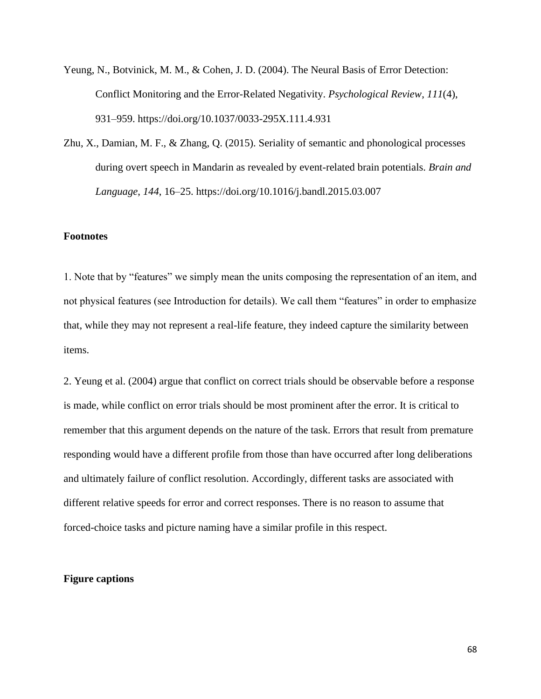Yeung, N., Botvinick, M. M., & Cohen, J. D. (2004). The Neural Basis of Error Detection: Conflict Monitoring and the Error-Related Negativity. *Psychological Review*, *111*(4), 931–959. https://doi.org/10.1037/0033-295X.111.4.931

Zhu, X., Damian, M. F., & Zhang, Q. (2015). Seriality of semantic and phonological processes during overt speech in Mandarin as revealed by event-related brain potentials. *Brain and Language*, *144*, 16–25. https://doi.org/10.1016/j.bandl.2015.03.007

#### **Footnotes**

1. Note that by "features" we simply mean the units composing the representation of an item, and not physical features (see Introduction for details). We call them "features" in order to emphasize that, while they may not represent a real-life feature, they indeed capture the similarity between items.

2. Yeung et al. (2004) argue that conflict on correct trials should be observable before a response is made, while conflict on error trials should be most prominent after the error. It is critical to remember that this argument depends on the nature of the task. Errors that result from premature responding would have a different profile from those than have occurred after long deliberations and ultimately failure of conflict resolution. Accordingly, different tasks are associated with different relative speeds for error and correct responses. There is no reason to assume that forced-choice tasks and picture naming have a similar profile in this respect.

#### **Figure captions**